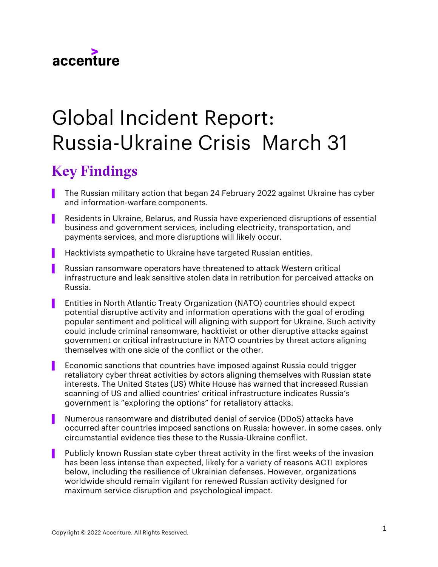

# Global Incident Report: Russia-Ukraine Crisis March 31

# Key Findings

- The Russian military action that began 24 February 2022 against Ukraine has cyber and information-warfare components.
- Residents in Ukraine, Belarus, and Russia have experienced disruptions of essential business and government services, including electricity, transportation, and payments services, and more disruptions will likely occur.
- Hacktivists sympathetic to Ukraine have targeted Russian entities.
- ▌ Russian ransomware operators have threatened to attack Western critical infrastructure and leak sensitive stolen data in retribution for perceived attacks on Russia.
- Entities in North Atlantic Treaty Organization (NATO) countries should expect potential disruptive activity and information operations with the goal of eroding popular sentiment and political will aligning with support for Ukraine. Such activity could include criminal ransomware, hacktivist or other disruptive attacks against government or critical infrastructure in NATO countries by threat actors aligning themselves with one side of the conflict or the other.
- Economic sanctions that countries have imposed against Russia could trigger retaliatory cyber threat activities by actors aligning themselves with Russian state interests. The United States (US) White House has warned that increased Russian scanning of US and allied countries' critical infrastructure indicates Russia's government is "exploring the options" for retaliatory attacks.
- Numerous ransomware and distributed denial of service (DDoS) attacks have occurred after countries imposed sanctions on Russia; however, in some cases, only circumstantial evidence ties these to the Russia-Ukraine conflict.
- Publicly known Russian state cyber threat activity in the first weeks of the invasion has been less intense than expected, likely for a variety of reasons ACTI explores below, including the resilience of Ukrainian defenses. However, organizations worldwide should remain vigilant for renewed Russian activity designed for maximum service disruption and psychological impact.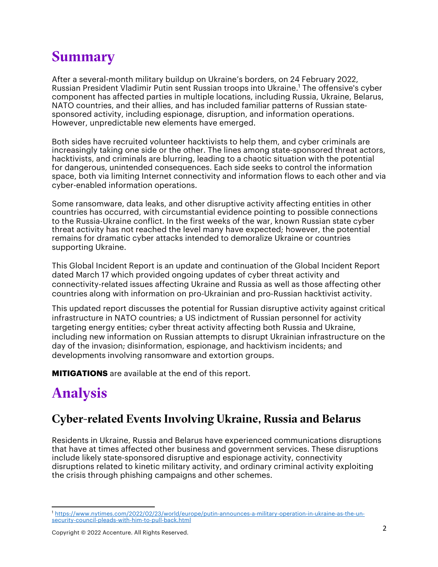## **Summary**

After a several-month military buildup on Ukraine's borders, on 24 February 2022, Russian President Vladimir Putin sent Russian troops into Ukraine.<sup>1</sup> The offensive's cyber component has affected parties in multiple locations, including Russia, Ukraine, Belarus, NATO countries, and their allies, and has included familiar patterns of Russian statesponsored activity, including espionage, disruption, and information operations. However, unpredictable new elements have emerged.

Both sides have recruited volunteer hacktivists to help them, and cyber criminals are increasingly taking one side or the other. The lines among state-sponsored threat actors, hacktivists, and criminals are blurring, leading to a chaotic situation with the potential for dangerous, unintended consequences. Each side seeks to control the information space, both via limiting Internet connectivity and information flows to each other and via cyber-enabled information operations.

Some ransomware, data leaks, and other disruptive activity affecting entities in other countries has occurred, with circumstantial evidence pointing to possible connections to the Russia-Ukraine conflict. In the first weeks of the war, known Russian state cyber threat activity has not reached the level many have expected; however, the potential remains for dramatic cyber attacks intended to demoralize Ukraine or countries supporting Ukraine.

This Global Incident Report is an update and continuation of the Global Incident Report dated March 17 which provided ongoing updates of cyber threat activity and connectivity-related issues affecting Ukraine and Russia as well as those affecting other countries along with information on pro-Ukrainian and pro-Russian hacktivist activity.

This updated report discusses the potential for Russian disruptive activity against critical infrastructure in NATO countries; a US indictment of Russian personnel for activity targeting energy entities; cyber threat activity affecting both Russia and Ukraine, including new information on Russian attempts to disrupt Ukrainian infrastructure on the day of the invasion; disinformation, espionage, and hacktivism incidents; and developments involving ransomware and extortion groups.

**MITIGATIONS** are available at the end of this report.

# Analysis

### Cyber-related Events Involving Ukraine, Russia and Belarus

Residents in Ukraine, Russia and Belarus have experienced communications disruptions that have at times affected other business and government services. These disruptions include likely state-sponsored disruptive and espionage activity, connectivity disruptions related to kinetic military activity, and ordinary criminal activity exploiting the crisis through phishing campaigns and other schemes.

<sup>1</sup> https://www.nytimes.com/2022/02/23/world/europe/putin-announces-a-military-operation-in-ukraine-as-the-unsecurity-council-pleads-with-him-to-pull-back.html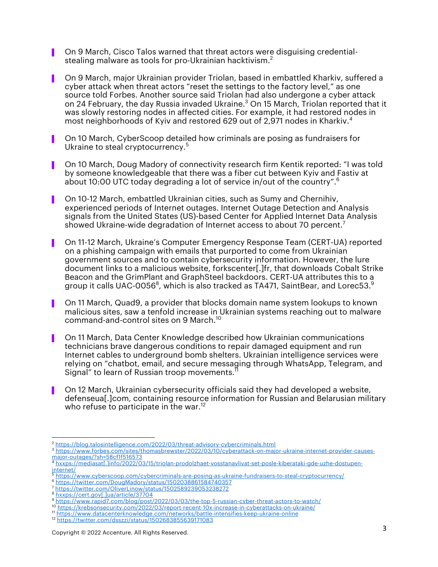- ▌ On 9 March, Cisco Talos warned that threat actors were disguising credentialstealing malware as tools for pro-Ukrainian hacktivism. $^2$
- ▌ On 9 March, major Ukrainian provider Triolan, based in embattled Kharkiv, suffered a cyber attack when threat actors "reset the settings to the factory level," as one source told Forbes. Another source said Triolan had also undergone a cyber attack on 24 February, the day Russia invaded Ukraine. <sup>3</sup> On 15 March, Triolan reported that it was slowly restoring nodes in affected cities. For example, it had restored nodes in most neighborhoods of Kyiv and restored 629 out of 2,971 nodes in Kharkiv. 4
- ▌ On 10 March, CyberScoop detailed how criminals are posing as fundraisers for Ukraine to steal cryptocurrency.<sup>5</sup>
- ▌ On 10 March, Doug Madory of connectivity research firm Kentik reported: "I was told by someone knowledgeable that there was a fiber cut between Kyiv and Fastiv at about 10:00 UTC today degrading a lot of service in/out of the country".<sup>6</sup>
- ▌ On 10-12 March, embattled Ukrainian cities, such as Sumy and Chernihiv, experienced periods of Internet outages. Internet Outage Detection and Analysis signals from the United States (US)-based Center for Applied Internet Data Analysis showed Ukraine-wide degradation of Internet access to about 70 percent. $^7$
- ▌ On 11-12 March, Ukraine's Computer Emergency Response Team (CERT-UA) reported on a phishing campaign with emails that purported to come from Ukrainian government sources and to contain cybersecurity information. However, the lure document links to a malicious website, forkscenter[.]fr, that downloads Cobalt Strike Beacon and the GrimPlant and GraphSteel backdoors. CERT-UA attributes this to a group it calls UAC-0056 $^{\rm 8}$ , which is also tracked as TA471, SaintBear, and Lorec53. $^{\rm 9}$
- ▌ On 11 March, Quad9, a provider that blocks domain name system lookups to known malicious sites, saw a tenfold increase in Ukrainian systems reaching out to malware command-and-control sites on 9 March. 10
- ▌ On 11 March, Data Center Knowledge described how Ukrainian communications technicians brave dangerous conditions to repair damaged equipment and run Internet cables to underground bomb shelters. Ukrainian intelligence services were relying on "chatbot, email, and secure messaging through WhatsApp, Telegram, and Signal" to learn of Russian troop movements. $^{\text{\tiny{\textsf{1}}}}$
- ▌ On 12 March, Ukrainian cybersecurity officials said they had developed a website, defenseua[.]com, containing resource information for Russian and Belarusian military who refuse to participate in the war.<sup>12</sup>

<sup>&</sup>lt;sup>2</sup> https://blog.talosintelligence.com/2022/03/threat-advisory-cybercriminals.html

<sup>3</sup> https://www.forbes.com/sites/thomasbrewster/2022/03/10/cyberattack-on-major-ukraine-internet-provider-causesmajor-outages/?sh=58cf1f516573

<sup>4</sup> hxxps://mediasat[.]info/2022/03/15/triolan-prodolzhaet-vosstanavlivat-set-posle-kiberataki-gde-uzhe-dostupen- $\frac{1}{5}$   $\frac{1}{5}$ 

https://www.cyberscoop.com/cybercriminals-are-posing-as-ukraine-fundraisers-to-steal-cryptocurrency/

<sup>6</sup> https://twitter.com/DougMadory/status/1502038861584740357

<sup>7</sup> https://twitter.com/OliverLinow/status/1502589239053238272

hxxps://cert.gov[.]ua/article/37704

<sup>9</sup> https://www.rapid7.com/blog/post/2022/03/03/the-top-5-russian-cyber-threat-actors-to-watch/

<sup>10</sup> https://krebsonsecurity.com/2022/03/report-recent-10x-increase-in-cyberattacks-on-ukraine/ <sup>11</sup> https://www.datacenterknowledge.com/networks/battle-intensifies-keep-ukraine-online

<sup>12</sup> https://twitter.com/dsszzi/status/1502683855639171083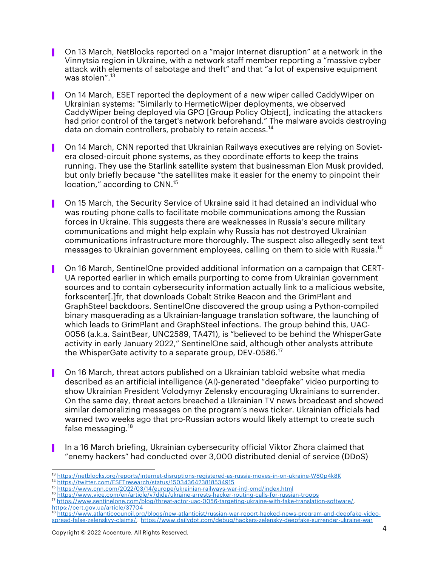- ▌ On 13 March, NetBlocks reported on a "major Internet disruption" at a network in the Vinnytsia region in Ukraine, with a network staff member reporting a "massive cyber attack with elements of sabotage and theft" and that "a lot of expensive equipment was stolen". 13
- ▌ On 14 March, ESET reported the deployment of a new wiper called CaddyWiper on Ukrainian systems: "Similarly to HermeticWiper deployments, we observed CaddyWiper being deployed via GPO [Group Policy Object], indicating the attackers had prior control of the target's network beforehand." The malware avoids destroying data on domain controllers, probably to retain access.<sup>14</sup>
- ▌ On 14 March, CNN reported that Ukrainian Railways executives are relying on Sovietera closed-circuit phone systems, as they coordinate efforts to keep the trains running. They use the Starlink satellite system that businessman Elon Musk provided, but only briefly because "the satellites make it easier for the enemy to pinpoint their location," according to CNN.<sup>15</sup>
- ▌ On 15 March, the Security Service of Ukraine said it had detained an individual who was routing phone calls to facilitate mobile communications among the Russian forces in Ukraine. This suggests there are weaknesses in Russia's secure military communications and might help explain why Russia has not destroyed Ukrainian communications infrastructure more thoroughly. The suspect also allegedly sent text messages to Ukrainian government employees, calling on them to side with Russia. 16
- ▌ On 16 March, SentinelOne provided additional information on a campaign that CERT-UA reported earlier in which emails purporting to come from Ukrainian government sources and to contain cybersecurity information actually link to a malicious website, forkscenter[.]fr, that downloads Cobalt Strike Beacon and the GrimPlant and GraphSteel backdoors. SentinelOne discovered the group using a Python-compiled binary masquerading as a Ukrainian-language translation software, the launching of which leads to GrimPlant and GraphSteel infections. The group behind this, UAC-0056 (a.k.a. SaintBear, UNC2589, TA471), is "believed to be behind the WhisperGate activity in early January 2022," SentinelOne said, although other analysts attribute the WhisperGate activity to a separate group, DEV-0586. $^{\mathrm{17}}$
- ▌ On 16 March, threat actors published on a Ukrainian tabloid website what media described as an artificial intelligence (AI)-generated "deepfake" video purporting to show Ukrainian President Volodymyr Zelensky encouraging Ukrainians to surrender. On the same day, threat actors breached a Ukrainian TV news broadcast and showed similar demoralizing messages on the program's news ticker. Ukrainian officials had warned two weeks ago that pro-Russian actors would likely attempt to create such false messaging.<sup>18</sup>
- ▌ In a 16 March briefing, Ukrainian cybersecurity official Viktor Zhora claimed that "enemy hackers" had conducted over 3,000 distributed denial of service (DDoS)

<sup>17</sup> https://www.sentinelone.com/blog/threat-actor-uac-0056-targeting-ukraine-with-fake-translation-software/,

<sup>13</sup> https://netblocks.org/reports/internet-disruptions-registered-as-russia-moves-in-on-ukraine-W80p4k8K

<sup>&</sup>lt;sup>14</sup> https://twitter.com/ESETresearch/status/1503436423818534915<br><sup>15</sup> https://www.cnn.com/2022/03/14/europe/ukrainian-railways-war-intl-cmd/index.html

<sup>&</sup>lt;sup>16</sup> https://www.vice.com/en/article/v7djda/ukraine-arrests-hacker-routing-calls-for-russian-troops

https://cert.gov.ua/article/37704 <sup>18</sup> https://www.atlanticcouncil.org/blogs/new-atlanticist/russian-war-report-hacked-news-program-and-deepfake-videospread-false-zelenskyy-claims/, https://www.dailydot.com/debug/hackers-zelensky-deepfake-surrender-ukraine-war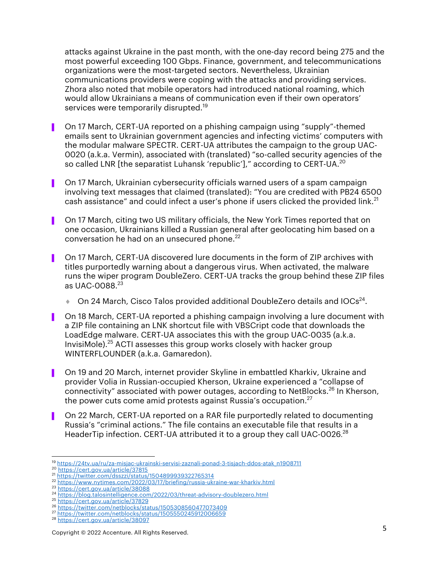attacks against Ukraine in the past month, with the one-day record being 275 and the most powerful exceeding 100 Gbps. Finance, government, and telecommunications organizations were the most-targeted sectors. Nevertheless, Ukrainian communications providers were coping with the attacks and providing services. Zhora also noted that mobile operators had introduced national roaming, which would allow Ukrainians a means of communication even if their own operators' services were temporarily disrupted.<sup>19</sup>

- ▌ On 17 March, CERT-UA reported on a phishing campaign using "supply"-themed emails sent to Ukrainian government agencies and infecting victims' computers with the modular malware SPECTR. CERT-UA attributes the campaign to the group UAC-0020 (a.k.a. Vermin), associated with (translated) "so-called security agencies of the so called LNR [the separatist Luhansk 'republic']," according to CERT-UA.<sup>20</sup>
- ▌ On 17 March, Ukrainian cybersecurity officials warned users of a spam campaign involving text messages that claimed (translated): "You are credited with PB24 6500 cash assistance" and could infect a user's phone if users clicked the provided link.<sup>21</sup>
- ▌ On 17 March, citing two US military officials, the New York Times reported that on one occasion, Ukrainians killed a Russian general after geolocating him based on a conversation he had on an unsecured phone.<sup>22</sup>
- ▌ On 17 March, CERT-UA discovered lure documents in the form of ZIP archives with titles purportedly warning about a dangerous virus. When activated, the malware runs the wiper program DoubleZero. CERT-UA tracks the group behind these ZIP files as  $IIAC-0.088<sup>23</sup>$ 
	- $\bullet$  On 24 March, Cisco Talos provided additional DoubleZero details and IOCs<sup>24</sup>.
- ▌ On 18 March, CERT-UA reported a phishing campaign involving a lure document with a ZIP file containing an LNK shortcut file with VBSCript code that downloads the LoadEdge malware. CERT-UA associates this with the group UAC-0035 (a.k.a. InvisiMole).<sup>25</sup> ACTI assesses this group works closely with hacker group WINTERFLOUNDER (a.k.a. Gamaredon).
- ▌ On 19 and 20 March, internet provider Skyline in embattled Kharkiv, Ukraine and provider Volia in Russian-occupied Kherson, Ukraine experienced a "collapse of connectivity" associated with power outages, according to NetBlocks.<sup>26</sup> In Kherson, the power cuts come amid protests against Russia's occupation. $27$
- ▌ On 22 March, CERT-UA reported on a RAR file purportedly related to documenting Russia's "criminal actions." The file contains an executable file that results in a HeaderTip infection. CERT-UA attributed it to a group they call UAC-0026.<sup>28</sup>

<sup>19</sup> https://24tv.ua/ru/za-misjac-ukrainski-servisi-zaznali-ponad-3-tisjach-ddos-atak\_n1908711

<sup>20</sup> https://cert.gov.ua/article/37815<br>21 https://twitter.com/dsszzi/status/1504899939322765314

<sup>&</sup>lt;sup>22</sup> https://www.nytimes.com/2022/03/17/briefing/russia-ukraine-war-kharkiv.html<br><sup>23</sup> https://cert.gov.ua/article/38088

<sup>24</sup> https://blog.talosintelligence.com/2022/03/threat-advisory-doublezero.html

<sup>25</sup> https://cert.gov.ua/article/37829<br>26 https://twitter.com/netblocks/status/1505308560477073409

<sup>&</sup>lt;sup>27</sup> https://twitter.com/netblocks/status/1505550245912006659

<sup>28</sup> https://cert.gov.ua/article/38097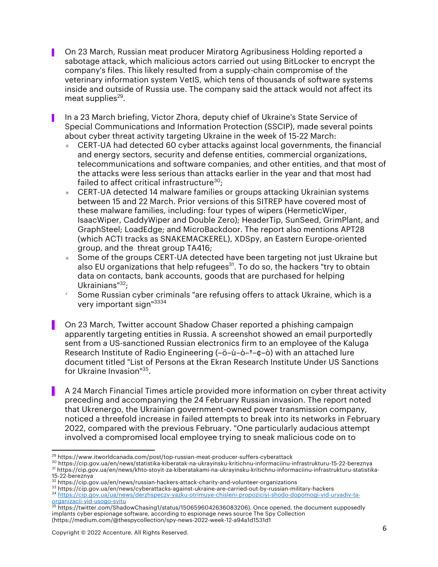- ▌ On 23 March, Russian meat producer Miratorg Agribusiness Holding reported a sabotage attack, which malicious actors carried out using BitLocker to encrypt the company's files. This likely resulted from a supply-chain compromise of the veterinary information system VetIS, which tens of thousands of software systems inside and outside of Russia use. The company said the attack would not affect its meat supplies $29$ .
- ▌ In a 23 March briefing, Victor Zhora, deputy chief of Ukraine's State Service of Special Communications and Information Protection (SSCIP), made several points about cyber threat activity targeting Ukraine in the week of 15-22 March:
	- $\bullet$  CERT-UA had detected 60 cyber attacks against local governments, the financial and energy sectors, security and defense entities, commercial organizations, telecommunications and software companies, and other entities, and that most of the attacks were less serious than attacks earlier in the year and that most had failed to affect critical infrastructure $30$ ;
	- CERT-UA detected 14 malware families or groups attacking Ukrainian systems between 15 and 22 March. Prior versions of this SITREP have covered most of these malware families, including: four types of wipers (HermeticWiper, IsaacWiper, CaddyWiper and Double Zero); HeaderTip, SunSeed, GrimPlant, and GraphSteel; LoadEdge; and MicroBackdoor. The report also mentions APT28 (which ACTI tracks as SNAKEMACKEREL), XDSpy, an Eastern Europe-oriented group, and the threat group TA416;
	- Some of the groups CERT-UA detected have been targeting not just Ukraine but also EU organizations that help refugees $^{31}$ . To do so, the hackers "try to obtain data on contacts, bank accounts, goods that are purchased for helping Ukrainians" $32$ ;
	- Some Russian cyber criminals "are refusing offers to attack Ukraine, which is a very important sign"3334
	- ▌ On 23 March, Twitter account Shadow Chaser reported a phishing campaign apparently targeting entities in Russia. A screenshot showed an email purportedly sent from a US-sanctioned Russian electronics firm to an employee of the Kaluga Research Institute of Radio Engineering (–ö–ù–ò–†–¢–ò) with an attached lure document titled "List of Persons at the Ekran Research Institute Under US Sanctions for Ukraine Invasion"35.
	- ▌ A 24 March Financial Times article provided more information on cyber threat activity preceding and accompanying the 24 February Russian invasion. The report noted that Ukrenergo, the Ukrainian government-owned power transmission company, noticed a threefold increase in failed attempts to break into its networks in February 2022, compared with the previous February. "One particularly audacious attempt involved a compromised local employee trying to sneak malicious code on to

34 https://cip.gov.ua/ua/news/derzhspeczv-yazku-otrimuye-chisleni-propoziciyi-shodo-dopomogi-vid-uryadiv-taorganizacii-vid-usogo-svitu

<sup>29</sup> https://www.itworldcanada.com/post/top-russian-meat-producer-suffers-cyberattack

<sup>30</sup> https://cip.gov.ua/en/news/statistika-kiberatak-na-ukrayinsku-kritichnu-informaciinu-infrastrukturu-15-22-bereznya 31 https://cip.gov.ua/en/news/khto-stoyit-za-kiberatakami-na-ukrayinsku-kritichnu-informaciinu-infrastrukturu-statistika-

<sup>15-22-</sup>bereznya

 $32 \text{ https://cip.gov.ua/en/news/russian-hacker-attack-charity-and-volumeer-organizations}$ <br> $33 \text{ https://cip.gov.ua/en/news/cyberattacks-against-ukraine-are-carried-out-by-russian-military-hackers}$ 

<sup>&</sup>lt;sup>35</sup> https://twitter.com/ShadowChasing1/status/1506596042636083206). Once opened, the document supposedly implants cyber espionage software, according to espionage news source The Spy Collection (https://medium.com/@thespycollection/spy-news-2022-week-12-a94a1d1531d1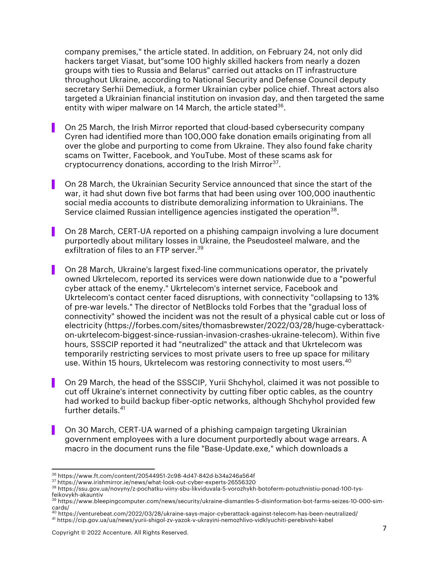company premises," the article stated. In addition, on February 24, not only did hackers target Viasat, but"some 100 highly skilled hackers from nearly a dozen groups with ties to Russia and Belarus" carried out attacks on IT infrastructure throughout Ukraine, according to National Security and Defense Council deputy secretary Serhii Demediuk, a former Ukrainian cyber police chief. Threat actors also targeted a Ukrainian financial institution on invasion day, and then targeted the same entity with wiper malware on 14 March, the article stated<sup>36</sup>.

- ▌ On 25 March, the Irish Mirror reported that cloud-based cybersecurity company Cyren had identified more than 100,000 fake donation emails originating from all over the globe and purporting to come from Ukraine. They also found fake charity scams on Twitter, Facebook, and YouTube. Most of these scams ask for cryptocurrency donations, according to the Irish Mirror<sup>37</sup>.
	- ▌ On 28 March, the Ukrainian Security Service announced that since the start of the war, it had shut down five bot farms that had been using over 100,000 inauthentic social media accounts to distribute demoralizing information to Ukrainians. The Service claimed Russian intelligence agencies instigated the operation<sup>38</sup>.
- On 28 March, CERT-UA reported on a phishing campaign involving a lure document purportedly about military losses in Ukraine, the Pseudosteel malware, and the exfiltration of files to an FTP server. 39
- ▌ On 28 March, Ukraine's largest fixed-line communications operator, the privately owned Ukrtelecom, reported its services were down nationwide due to a "powerful cyber attack of the enemy." Ukrtelecom's internet service, Facebook and Ukrtelecom's contact center faced disruptions, with connectivity "collapsing to 13% of pre-war levels." The director of NetBlocks told Forbes that the "gradual loss of connectivity" showed the incident was not the result of a physical cable cut or loss of electricity (https://forbes.com/sites/thomasbrewster/2022/03/28/huge-cyberattackon-ukrtelecom-biggest-since-russian-invasion-crashes-ukraine-telecom). Within five hours, SSSCIP reported it had "neutralized" the attack and that Ukrtelecom was temporarily restricting services to most private users to free up space for military use. Within 15 hours, Ukrtelecom was restoring connectivity to most users. 40
- On 29 March, the head of the SSSCIP, Yurii Shchyhol, claimed it was not possible to cut off Ukraine's internet connectivity by cutting fiber optic cables, as the country had worked to build backup fiber-optic networks, although Shchyhol provided few further details. 41
- ▌ On 30 March, CERT-UA warned of a phishing campaign targeting Ukrainian government employees with a lure document purportedly about wage arrears. A macro in the document runs the file "Base-Update.exe," which downloads a

<sup>36</sup> https://www.ft.com/content/20544951-2c98-4d47-842d-b34a246a564f

<sup>37</sup> https://www.irishmirror.ie/news/what-look-out-cyber-experts-26556320

<sup>38</sup> https://ssu.gov.ua/novyny/z-pochatku-viiny-sbu-likviduvala-5-vorozhykh-botoferm-potuzhnistiu-ponad-100-tysfeikovykh-akauntiv

<sup>39</sup> https://www.bleepingcomputer.com/news/security/ukraine-dismantles-5-disinformation-bot-farms-seizes-10-000-simcards/<br><sup>40</sup> https://venturebeat.com/2022/03/28/ukraine-says-major-cyberattack-against-telecom-has-been-neutralized/

<sup>41</sup> https://cip.gov.ua/ua/news/yurii-shigol-zv-yazok-v-ukrayini-nemozhlivo-vidklyuchiti-perebivshi-kabel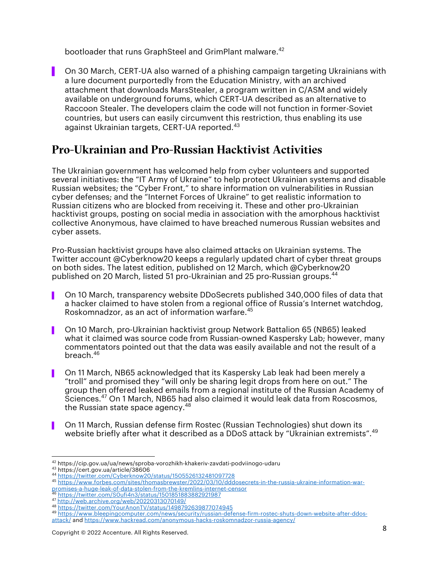bootloader that runs GraphSteel and GrimPlant malware. 42

▌ On 30 March, CERT-UA also warned of a phishing campaign targeting Ukrainians with a lure document purportedly from the Education Ministry, with an archived attachment that downloads MarsStealer, a program written in C/ASM and widely available on underground forums, which CERT-UA described as an alternative to Raccoon Stealer. The developers claim the code will not function in former-Soviet countries, but users can easily circumvent this restriction, thus enabling its use against Ukrainian targets, CERT-UA reported.<sup>43</sup>

#### Pro-Ukrainian and Pro-Russian Hacktivist Activities

The Ukrainian government has welcomed help from cyber volunteers and supported several initiatives: the "IT Army of Ukraine" to help protect Ukrainian systems and disable Russian websites; the "Cyber Front," to share information on vulnerabilities in Russian cyber defenses; and the "Internet Forces of Ukraine" to get realistic information to Russian citizens who are blocked from receiving it. These and other pro-Ukrainian hacktivist groups, posting on social media in association with the amorphous hacktivist collective Anonymous, have claimed to have breached numerous Russian websites and cyber assets.

Pro-Russian hacktivist groups have also claimed attacks on Ukrainian systems. The Twitter account @Cyberknow20 keeps a regularly updated chart of cyber threat groups on both sides. The latest edition, published on 12 March, which @Cyberknow20 published on 20 March, listed 51 pro-Ukrainian and 25 pro-Russian groups. 44

- On 10 March, transparency website DDoSecrets published 340,000 files of data that a hacker claimed to have stolen from a regional office of Russia's Internet watchdog, Roskomnadzor, as an act of information warfare. 45
- ▌ On 10 March, pro-Ukrainian hacktivist group Network Battalion 65 (NB65) leaked what it claimed was source code from Russian-owned Kaspersky Lab; however, many commentators pointed out that the data was easily available and not the result of a breach. 46
- ▌ On 11 March, NB65 acknowledged that its Kaspersky Lab leak had been merely a "troll" and promised they "will only be sharing legit drops from here on out." The group then offered leaked emails from a regional institute of the Russian Academy of Sciences. <sup>47</sup> On 1 March, NB65 had also claimed it would leak data from Roscosmos, the Russian state space agency. $^{48}$
- ▌ On 11 March, Russian defense firm Rostec (Russian Technologies) shut down its website briefly after what it described as a DDoS attack by "Ukrainian extremists". 49

<sup>&</sup>lt;sup>42</sup> https://cip.gov.ua/ua/news/sproba-vorozhikh-khakeriv-zavdati-podviinogo-udaru<br><sup>43</sup> https://cert.gov.ua/article/38606

<sup>43</sup> https://cert.gov.ua/article/38606 <sup>44</sup> https://twitter.com/Cyberknow20/status/1505526132481097728

<sup>45</sup> https://www.forbes.com/sites/thomasbrewster/2022/03/10/dddosecrets-in-the-russia-ukraine-information-war-

promises-a-huge-leak-of-data-stolen-from-the-kremlins-internet-censor <sup>46</sup> https://twitter.com/S0ufi4n3/status/1501851883882921987

<sup>47</sup> http://web.archive.org/web/20220313070149/<br>48 https://twitter.com/YourAnonTV/status/1498792639877074945

<sup>&</sup>lt;sup>49</sup> https://www.bleepingcomputer.com/news/security/russian-defense-firm-rostec-shuts-down-website-after-ddosattack/ and https://www.hackread.com/anonymous-hacks-roskomnadzor-russia-agency/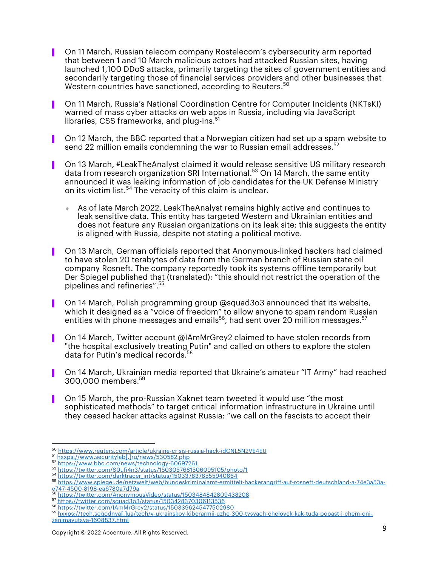- ▌ On 11 March, Russian telecom company Rostelecom's cybersecurity arm reported that between 1 and 10 March malicious actors had attacked Russian sites, having launched 1,100 DDoS attacks, primarily targeting the sites of government entities and secondarily targeting those of financial services providers and other businesses that Western countries have sanctioned, according to Reuters. 50
- ▌ On 11 March, Russia's National Coordination Centre for Computer Incidents (NKTsKI) warned of mass cyber attacks on web apps in Russia, including via JavaScript libraries, CSS frameworks, and plug-ins.<sup>51</sup>
- ▌ On 12 March, the BBC reported that a Norwegian citizen had set up a spam website to send 22 million emails condemning the war to Russian email addresses. 52
- ▌ On 13 March, #LeakTheAnalyst claimed it would release sensitive US military research data from research organization SRI International. <sup>53</sup> On 14 March, the same entity announced it was leaking information of job candidates for the UK Defense Ministry on its victim list.<sup>54</sup> The veracity of this claim is unclear.
	- As of late March 2022, LeakTheAnalyst remains highly active and continues to leak sensitive data. This entity has targeted Western and Ukrainian entities and does not feature any Russian organizations on its leak site; this suggests the entity is aligned with Russia, despite not stating a political motive.
- ▌ On 13 March, German officials reported that Anonymous-linked hackers had claimed to have stolen 20 terabytes of data from the German branch of Russian state oil company Rosneft. The company reportedly took its systems offline temporarily but Der Spiegel published that (translated): "this should not restrict the operation of the pipelines and refineries". 55
- On 14 March, Polish programming group @squad3o3 announced that its website, which it designed as a "voice of freedom" to allow anyone to spam random Russian entities with phone messages and emails $^{56}$ , had sent over 20 million messages. $^{57}$
- ▌ On 14 March, Twitter account @IAmMrGrey2 claimed to have stolen records from "the hospital exclusively treating Putin" and called on others to explore the stolen data for Putin's medical records. 58
- ▌ On 14 March, Ukrainian media reported that Ukraine's amateur "IT Army" had reached 300,000 members. 59
- ▌ On 15 March, the pro-Russian Xaknet team tweeted it would use "the most sophisticated methods" to target critical information infrastructure in Ukraine until they ceased hacker attacks against Russia: "we call on the fascists to accept their

<sup>50</sup> https://www.reuters.com/article/ukraine-crisis-russia-hack-idCNL5N2VE4EU<br><sup>51</sup> hxxps://www.securitylab[.]ru/news/530582.php

<sup>52</sup> https://www.bbc.com/news/technology-60697261

<sup>53&</sup>lt;br>https://twitter.com/S0ufi4n3/status/1503057681506095105/photo/1<br>https://twitter.com/darktracer\_int/status/1503378378555940864

<sup>55</sup> https://www.spiegel.de/netzwelt/web/bundeskriminalamt-ermittelt-hackerangriff-auf-rosneft-deutschland-a-74e3a53a-

https://twitter.com/AnonymousVideo/status/1503484842809438208

<sup>57</sup> https://twitter.com/squad3o3/status/1503428370306113536<br>58 https://twitter.com/IAmMrGrey2/status/1503396245477502980

<sup>59</sup> hxxps://tech.segodnya[.]ua/tech/v-ukrainskoy-kiberarmii-uzhe-300-tysyach-chelovek-kak-tuda-popast-i-chem-onizanimayutsya-1608837.html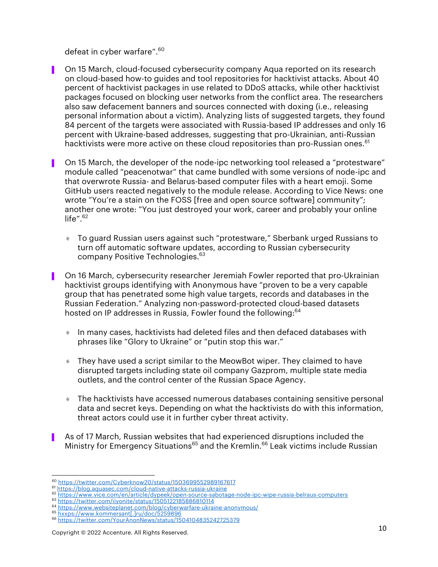defeat in cyber warfare". 60

- ▌ On 15 March, cloud-focused cybersecurity company Aqua reported on its research on cloud-based how-to guides and tool repositories for hacktivist attacks. About 40 percent of hacktivist packages in use related to DDoS attacks, while other hacktivist packages focused on blocking user networks from the conflict area. The researchers also saw defacement banners and sources connected with doxing (i.e., releasing personal information about a victim). Analyzing lists of suggested targets, they found 84 percent of the targets were associated with Russia-based IP addresses and only 16 percent with Ukraine-based addresses, suggesting that pro-Ukrainian, anti-Russian hacktivists were more active on these cloud repositories than pro-Russian ones.<sup>61</sup>
- ▌ On 15 March, the developer of the node-ipc networking tool released a "protestware" module called "peacenotwar" that came bundled with some versions of node-ipc and that overwrote Russia- and Belarus-based computer files with a heart emoji. Some GitHub users reacted negatively to the module release. According to Vice News: one wrote "You're a stain on the FOSS [free and open source software] community"; another one wrote: "You just destroyed your work, career and probably your online life". $62$ 
	- To guard Russian users against such "protestware," Sberbank urged Russians to turn off automatic software updates, according to Russian cybersecurity company Positive Technologies.<sup>63</sup>
- ▌ On 16 March, cybersecurity researcher Jeremiah Fowler reported that pro-Ukrainian hacktivist groups identifying with Anonymous have "proven to be a very capable group that has penetrated some high value targets, records and databases in the Russian Federation." Analyzing non-password-protected cloud-based datasets hosted on IP addresses in Russia, Fowler found the following: 64
	- $\bullet$  In many cases, hacktivists had deleted files and then defaced databases with phrases like "Glory to Ukraine" or "putin stop this war."
	- $\bullet$  They have used a script similar to the MeowBot wiper. They claimed to have disrupted targets including state oil company Gazprom, multiple state media outlets, and the control center of the Russian Space Agency.
	- $\bullet$  The hacktivists have accessed numerous databases containing sensitive personal data and secret keys. Depending on what the hacktivists do with this information, threat actors could use it in further cyber threat activity.
- ▌ As of 17 March, Russian websites that had experienced disruptions included the Ministry for Emergency Situations<sup>65</sup> and the Kremlin.<sup>66</sup> Leak victims include Russian

<sup>&</sup>lt;sup>60</sup> https://twitter.com/Cyberknow20/status/1503699552989167617<br><sup>61</sup> https://blog.aquasec.com/cloud-native-attacks-russia-ukraine

<sup>62</sup> https://www.vice.com/en/article/dypeek/open-source-sabotage-node-ipc-wipe-russia-belraus-computers

<sup>63</sup> https://twitter.com/iiyonite/status/1505122185886810114

<sup>64</sup> https://www.websiteplanet.com/blog/cyberwarfare-ukraine-anonymous/<br><sup>65</sup> hxxps://www.kommersant[.]ru/doc/5259896<br><sup>66</sup> https://twitter.com/YourAnonNews/status/1504104835242725379

Copyright © 2022 Accenture. All Rights Reserved. 10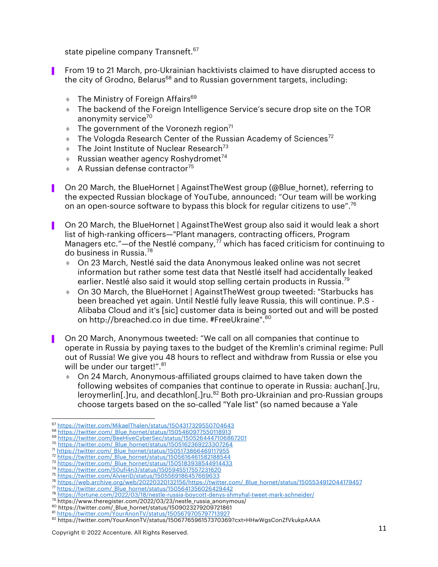state pipeline company Transneft.<sup>67</sup>

- ▌ From 19 to 21 March, pro-Ukrainian hacktivists claimed to have disrupted access to the city of Grodno, Belarus<sup>68</sup> and to Russian government targets, including:
	- $\bullet$  The Ministry of Foreign Affairs<sup>69</sup>
	- **The backend of the Foreign Intelligence Service's secure drop site on the TOR** anonymity service<sup>70</sup>
	- $\bullet$  The government of the Voronezh region<sup>71</sup>
	- $\bullet$  The Vologda Research Center of the Russian Academy of Sciences<sup>72</sup>
	- $\bullet$  The Joint Institute of Nuclear Research<sup>73</sup>
	- Russian weather agency Roshydromet<sup>74</sup>
	- $\triangle$  A Russian defense contractor<sup>75</sup>
- ▌ On 20 March, the BlueHornet | AgainstTheWest group (@Blue\_hornet), referring to the expected Russian blockage of YouTube, announced: "Our team will be working on an open-source software to bypass this block for regular citizens to use".<sup>76</sup>
- ▌ On 20 March, the BlueHornet | AgainstTheWest group also said it would leak a short list of high-ranking officers—"Plant managers, contracting officers, Program Managers etc." $-$ of the Nestlé company, $\frac{7}{7}$  which has faced criticism for continuing to do business in Russia.<sup>78</sup>
	- ◆ On 23 March, Nestlé said the data Anonymous leaked online was not secret information but rather some test data that Nestlé itself had accidentally leaked earlier. Nestlé also said it would stop selling certain products in Russia.<sup>79</sup>
	- ◆ On 30 March, the BlueHornet | AgainstTheWest group tweeted: "Starbucks has been breached yet again. Until Nestlé fully leave Russia, this will continue. P.S - Alibaba Cloud and it's [sic] customer data is being sorted out and will be posted on http://breached.co in due time. #FreeUkraine".<sup>80</sup>
- On 20 March, Anonymous tweeted: "We call on all companies that continue to operate in Russia by paying taxes to the budget of the Kremlin's criminal regime: Pull out of Russia! We give you 48 hours to reflect and withdraw from Russia or else you will be under our target!".<sup>81</sup>
	- ♦ On 24 March, Anonymous-affiliated groups claimed to have taken down the following websites of companies that continue to operate in Russia: auchan[.]ru, leroymerlin[.]ru, and decathlon[.]ru.<sup>82</sup> Both pro-Ukrainian and pro-Russian groups choose targets based on the so-called "Yale list" (so named because a Yale

<sup>67</sup> https://twitter.com/MikaelThalen/status/1504317329550704643<br>68 https://twitter.com/ Blue hornet/status/1505460977550118913

<sup>69</sup> https://twitter.com/BeeHiveCyberSec/status/1505264447106867201

<sup>70</sup> https://twitter.com/\_Blue\_hornet/status/1505162369223307264<br>71 https://twitter.com/\_Blue\_hornet/status/1505173866469117955

<sup>72</sup> https://twitter.com/\_Blue\_hornet/status/1505616461582188544

<sup>73</sup> https://twitter.com/\_Blue\_hornet/status/1505183938544914433<br>74 https://twitter.com/S0ufi4n3/status/1505945517557231620

<sup>75</sup> https://twitter.com/AlvieriD/status/1505569186457669633

<sup>&</sup>lt;sup>76</sup> https://web.archive.org/web/20220320132156/https://twitter.com/\_Blue\_hornet/status/1505534912044179457\_<br><sup>77</sup> https://twitter.com/\_Blue\_hornet/status/1505641356026429442\_<br><sup>78</sup> https://fortune.com/2022/03/18/nestle-russ

<sup>&</sup>lt;sup>79</sup> https://www.theregister.com/2022/03/23/nestle\_russia\_anonymous/

<sup>80</sup> https://twitter.com/\_Blue\_hornet/status/1509023279209721861<br><sup>81</sup> https://twitter.com/YourAnonTV/status/1505679705797713927

<sup>82</sup> https://twitter.com/YourAnonTV/status/1506776596157370369?cxt=HHwWgsConZfVkukpAAAA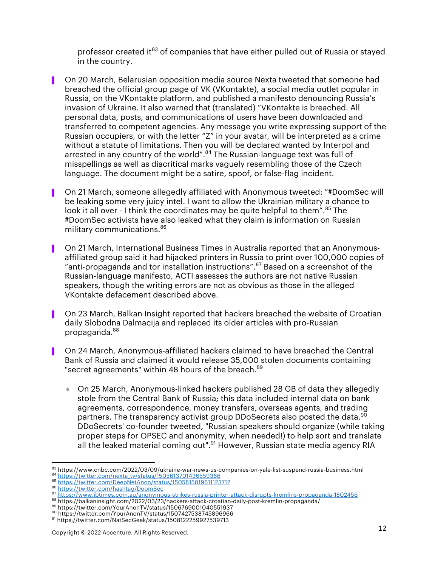professor created it<sup>83</sup> of companies that have either pulled out of Russia or stayed in the country.

- ▌ On 20 March, Belarusian opposition media source Nexta tweeted that someone had breached the official group page of VK (VKontakte), a social media outlet popular in Russia, on the VKontakte platform, and published a manifesto denouncing Russia's invasion of Ukraine. It also warned that (translated) "VKontakte is breached. All personal data, posts, and communications of users have been downloaded and transferred to competent agencies. Any message you write expressing support of the Russian occupiers, or with the letter "Z" in your avatar, will be interpreted as a crime without a statute of limitations. Then you will be declared wanted by Interpol and arrested in any country of the world".<sup>84</sup> The Russian-language text was full of misspellings as well as diacritical marks vaguely resembling those of the Czech language. The document might be a satire, spoof, or false-flag incident.
- ▌ On 21 March, someone allegedly affiliated with Anonymous tweeted: "#DoomSec will be leaking some very juicy intel. I want to allow the Ukrainian military a chance to look it all over - I think the coordinates may be quite helpful to them".<sup>85</sup> The #DoomSec activists have also leaked what they claim is information on Russian military communications.<sup>86</sup>
- ▌ On 21 March, International Business Times in Australia reported that an Anonymousaffiliated group said it had hijacked printers in Russia to print over 100,000 copies of "anti-propaganda and tor installation instructions".<sup>87</sup> Based on a screenshot of the Russian-language manifesto, ACTI assesses the authors are not native Russian speakers, though the writing errors are not as obvious as those in the alleged VKontakte defacement described above.
- ▌ On 23 March, Balkan Insight reported that hackers breached the website of Croatian daily Slobodna Dalmacija and replaced its older articles with pro-Russian propaganda. 88
- ▌ On 24 March, Anonymous-affiliated hackers claimed to have breached the Central Bank of Russia and claimed it would release 35,000 stolen documents containing "secret agreements" within 48 hours of the breach.<sup>89</sup>
	- ◆ On 25 March, Anonymous-linked hackers published 28 GB of data they allegedly stole from the Central Bank of Russia; this data included internal data on bank agreements, correspondence, money transfers, overseas agents, and trading partners. The transparency activist group DDoSecrets also posted the data.<sup>90</sup> DDoSecrets' co-founder tweeted, "Russian speakers should organize (while taking proper steps for OPSEC and anonymity, when needed!) to help sort and translate all the leaked material coming out".<sup>91</sup> However, Russian state media agency RIA

85 https://twitter.com/DeepNetAnon/status/1505815819611123712<br>86 https://twitter.com/DeepNetAnon/status/1505815819611123712

- 87 https://www.ibtimes.com.au/anonymous-strikes-russia-printer-attack-disrupts-kremlins-propaganda-1802456
- <sup>88</sup> https://balkaninsight.com/2022/03/23/hackers-attack-croatian-daily-post-kremlin-propaganda/
- 89 https://twitter.com/YourAnonTV/status/1506769001040551937<br><sup>90</sup> https://twitter.com/YourAnonTV/status/1507427538745896966
- 

<sup>&</sup>lt;sup>83</sup> https://www.cnbc.com/2022/03/09/ukraine-war-news-us-companies-on-yale-list-suspend-russia-business.html<br><sup>84</sup> https://twitt<u>er.com/nexta\_tv/status/1505613701436559366</u>

<sup>91</sup> https://twitter.com/NatSecGeek/status/1508122259927539713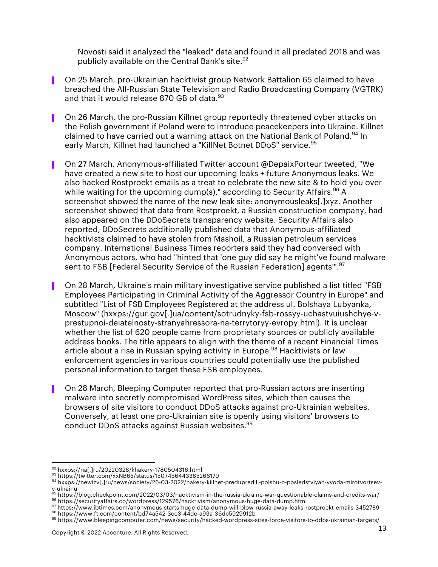Novosti said it analyzed the "leaked" data and found it all predated 2018 and was publicly available on the Central Bank's site. $92$ 

- ▌ On 25 March, pro-Ukrainian hacktivist group Network Battalion 65 claimed to have breached the All-Russian State Television and Radio Broadcasting Company (VGTRK) and that it would release 870 GB of data.<sup>93</sup>
- ▌ On 26 March, the pro-Russian Killnet group reportedly threatened cyber attacks on the Polish government if Poland were to introduce peacekeepers into Ukraine. Killnet claimed to have carried out a warning attack on the National Bank of Poland.<sup>94</sup> In early March, Killnet had launched a "KillNet Botnet DDoS" service.<sup>95</sup>
- ▌ On 27 March, Anonymous-affiliated Twitter account @DepaixPorteur tweeted, "We have created a new site to host our upcoming leaks + future Anonymous leaks. We also hacked Rostproekt emails as a treat to celebrate the new site & to hold you over while waiting for the upcoming dump(s)," according to Security Affairs.<sup>96</sup> A screenshot showed the name of the new leak site: anonymousleaks[.]xyz. Another screenshot showed that data from Rostproekt, a Russian construction company, had also appeared on the DDoSecrets transparency website. Security Affairs also reported, DDoSecrets additionally published data that Anonymous-affiliated hacktivists claimed to have stolen from Mashoil, a Russian petroleum services company. International Business Times reporters said they had conversed with Anonymous actors, who had "hinted that 'one guy did say he might've found malware sent to FSB [Federal Security Service of the Russian Federation] agents'".97
- ▌ On 28 March, Ukraine's main military investigative service published a list titled "FSB Employees Participating in Criminal Activity of the Aggressor Country in Europe" and subtitled "List of FSB Employees Registered at the address ul. Bolshaya Lubyanka, Moscow" (hxxps://gur.gov[.]ua/content/sotrudnyky-fsb-rossyy-uchastvuiushchye-vprestupnoi-deiatelnosty-stranyahressora-na-terrytoryy-evropy.html). It is unclear whether the list of 620 people came from proprietary sources or publicly available address books. The title appears to align with the theme of a recent Financial Times article about a rise in Russian spying activity in Europe.<sup>98</sup> Hacktivists or law enforcement agencies in various countries could potentially use the published personal information to target these FSB employees.
- ▌ On 28 March, Bleeping Computer reported that pro-Russian actors are inserting malware into secretly compromised WordPress sites, which then causes the browsers of site visitors to conduct DDoS attacks against pro-Ukrainian websites. Conversely, at least one pro-Ukrainian site is openly using visitors' browsers to conduct DDoS attacks against Russian websites.<sup>99</sup>

 $^{92}$  hxxps://ria[.]ru/20220328/khakery-1780504316.html<br><sup>93</sup> https://twitter.com/xxNB65/status/1507456443385266179

<sup>94</sup> hxxps://newizv[.]ru/news/society/26-03-2022/hakery-killnet-predupredili-polshu-o-posledstviyah-vvoda-mirotvortsev-

v-ukrainu<br><sup>95</sup> https://blog.checkpoint.com/2022/03/03/hacktivism-in-the-russia-ukraine-war-questionable-claims-and-credits-war/ <sup>96</sup> https://securityaffairs.co/wordpress/129576/hacktivism/anonymous-huge-data-dump.html

 $\frac{97}{2}$ https://www.ibtimes.com/anonymous-starts-huge-data-dump-will-blow-russia-away-leaks-rostproekt-emails-3452789<br><sup>98</sup> https://www.ft.com/content/bd74a542-3ce3-44de-a93a-36dc5929912b

<sup>99</sup> https://www.bleepingcomputer.com/news/security/hacked-wordpress-sites-force-visitors-to-ddos-ukrainian-targets/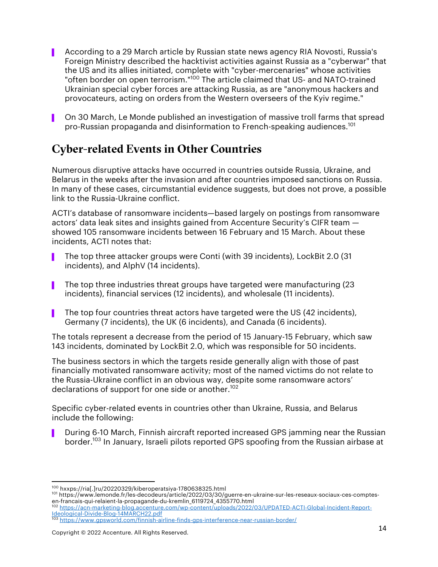- ▌ According to a 29 March article by Russian state news agency RIA Novosti, Russia's Foreign Ministry described the hacktivist activities against Russia as a "cyberwar" that the US and its allies initiated, complete with "cyber-mercenaries" whose activities "often border on open terrorism."<sup>100</sup> The article claimed that US- and NATO-trained Ukrainian special cyber forces are attacking Russia, as are "anonymous hackers and provocateurs, acting on orders from the Western overseers of the Kyiv regime."
- ▌ On 30 March, Le Monde published an investigation of massive troll farms that spread pro-Russian propaganda and disinformation to French-speaking audiences.101

### Cyber-related Events in Other Countries

Numerous disruptive attacks have occurred in countries outside Russia, Ukraine, and Belarus in the weeks after the invasion and after countries imposed sanctions on Russia. In many of these cases, circumstantial evidence suggests, but does not prove, a possible link to the Russia-Ukraine conflict.

ACTI's database of ransomware incidents—based largely on postings from ransomware actors' data leak sites and insights gained from Accenture Security's CIFR team  $$ showed 105 ransomware incidents between 16 February and 15 March. About these incidents, ACTI notes that:

- ▌ The top three attacker groups were Conti (with 39 incidents), LockBit 2.0 (31 incidents), and AlphV (14 incidents).
- The top three industries threat groups have targeted were manufacturing (23) incidents), financial services (12 incidents), and wholesale (11 incidents).
- ▌ The top four countries threat actors have targeted were the US (42 incidents), Germany (7 incidents), the UK (6 incidents), and Canada (6 incidents).

The totals represent a decrease from the period of 15 January-15 February, which saw 143 incidents, dominated by LockBit 2.0, which was responsible for 50 incidents.

The business sectors in which the targets reside generally align with those of past financially motivated ransomware activity; most of the named victims do not relate to the Russia-Ukraine conflict in an obvious way, despite some ransomware actors' declarations of support for one side or another.<sup>102</sup>

Specific cyber-related events in countries other than Ukraine, Russia, and Belarus include the following:

During 6-10 March, Finnish aircraft reported increased GPS jamming near the Russian border.<sup>103</sup> In January, Israeli pilots reported GPS spoofing from the Russian airbase at

<sup>&</sup>lt;sup>100</sup> hxxps://ria[.]ru/20220329/kiberoperatsiya-1780638325.html<br><sup>101</sup> https://www.lemonde.fr/les-decodeurs/article/2022/03/30/guerre-en-ukraine-sur-les-reseaux-sociaux-ces-comptesen-francais-qui-relaient-la-propagande-du-kremlin\_6119724\_4355770.html

<sup>102</sup> https://acn-marketing-blog.accenture.com/wp-content/uploads/2022/03/UPDATED-ACTI-Global-Incident-Report-Ideological-Divide-Blog-14MARCH22.pdf

<sup>103</sup> https://www.gpsworld.com/finnish-airline-finds-gps-interference-near-russian-border/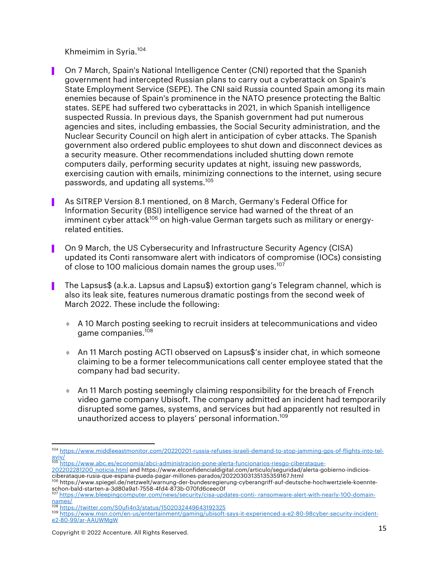Khmeimim in Syria. 104

- ▌ On 7 March, Spain's National Intelligence Center (CNI) reported that the Spanish government had intercepted Russian plans to carry out a cyberattack on Spain's State Employment Service (SEPE). The CNI said Russia counted Spain among its main enemies because of Spain's prominence in the NATO presence protecting the Baltic states. SEPE had suffered two cyberattacks in 2021, in which Spanish intelligence suspected Russia. In previous days, the Spanish government had put numerous agencies and sites, including embassies, the Social Security administration, and the Nuclear Security Council on high alert in anticipation of cyber attacks. The Spanish government also ordered public employees to shut down and disconnect devices as a security measure. Other recommendations included shutting down remote computers daily, performing security updates at night, issuing new passwords, exercising caution with emails, minimizing connections to the internet, using secure passwords, and updating all systems. 105
- ▌ As SITREP Version 8.1 mentioned, on 8 March, Germany's Federal Office for Information Security (BSI) intelligence service had warned of the threat of an imminent cyber attack<sup>106</sup> on high-value German targets such as military or energyrelated entities.
- On 9 March, the US Cybersecurity and Infrastructure Security Agency (CISA) updated its Conti ransomware alert with indicators of compromise (IOCs) consisting of close to 100 malicious domain names the group uses.<sup>107</sup>
- The Lapsus\$ (a.k.a. Lapsus and Lapsu\$) extortion gang's Telegram channel, which is also its leak site, features numerous dramatic postings from the second week of March 2022. These include the following:
	- ¨ A 10 March posting seeking to recruit insiders at telecommunications and video game companies. 108
	- ¨ An 11 March posting ACTI observed on Lapsus\$'s insider chat, in which someone claiming to be a former telecommunications call center employee stated that the company had bad security.
	- $\bullet$  An 11 March posting seemingly claiming responsibility for the breach of French video game company Ubisoft. The company admitted an incident had temporarily disrupted some games, systems, and services but had apparently not resulted in unauthorized access to players' personal information. 109

<sup>105</sup> https://www.abc.es/economia/abci-administracion-pone-alerta-funcionarios-riesgo-ciberataque-202202281200\_noticia.html and https://www.elconfidencialdigital.com/articulo/seguridad/alerta-gobierno-indicios-

<sup>104</sup> https://www.middleeastmonitor.com/20220201-russia-refuses-israeli-demand-to-stop-jamming-gps-of-flights-into-telaviv/

ciberataque-rusia-que-espana-pueda-pagar-millones-parados/20220303135135359167.html <sup>106</sup> https://www.spiegel.de/netzwelt/warnung-der-bundesregierung-cyberangriff-auf-deutsche-hochwertziele-koennte-

schon-bald-starten-a-3d80a9a1-7558-4fd4-873b-070fd6ceec0f<br>schon-bald-starten-a-3d80a9a1-7558-4fd4-873b-070fd6ceec0f<br><sup>107</sup> https://www.bleepingcomputer.com/news/security/cisa-updates-conti- ransomware-alert-with-nearly-100-

names/<br><sup>108</sup> https://twitter.com/S0ufi4n3/status/1502032449643192325

<sup>109</sup> https://www.msn.com/en-us/entertainment/gaming/ubisoft-says-it-experienced-a-e2-80-98cyber-security-incidente2-80-99/ar-AAUWMgW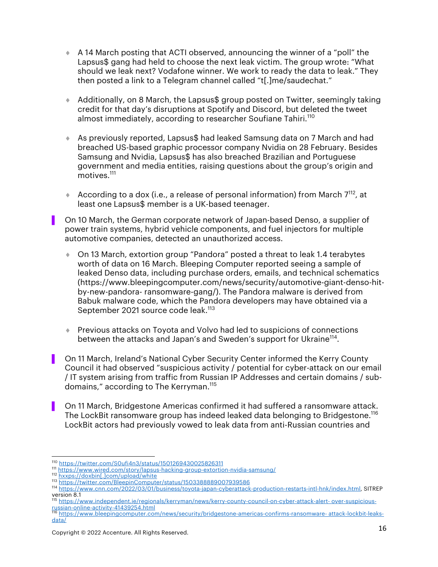- $\triangle$  A 14 March posting that ACTI observed, announcing the winner of a "poll" the Lapsus\$ gang had held to choose the next leak victim. The group wrote: "What should we leak next? Vodafone winner. We work to ready the data to leak." They then posted a link to a Telegram channel called "t[.]me/saudechat."
- ¨ Additionally, on 8 March, the Lapsus\$ group posted on Twitter, seemingly taking credit for that day's disruptions at Spotify and Discord, but deleted the tweet almost immediately, according to researcher Soufiane Tahiri.<sup>110</sup>
- ◆ As previously reported, Lapsus\$ had leaked Samsung data on 7 March and had breached US-based graphic processor company Nvidia on 28 February. Besides Samsung and Nvidia, Lapsus\$ has also breached Brazilian and Portuguese government and media entities, raising questions about the group's origin and motives. 111
- $\triangleq$  According to a dox (i.e., a release of personal information) from March 7<sup>112</sup>, at least one Lapsus\$ member is a UK-based teenager.

▌ On 10 March, the German corporate network of Japan-based Denso, a supplier of power train systems, hybrid vehicle components, and fuel injectors for multiple automotive companies, detected an unauthorized access.

- ¨ On 13 March, extortion group "Pandora" posted a threat to leak 1.4 terabytes worth of data on 16 March. Bleeping Computer reported seeing a sample of leaked Denso data, including purchase orders, emails, and technical schematics (https://www.bleepingcomputer.com/news/security/automotive-giant-denso-hitby-new-pandora- ransomware-gang/). The Pandora malware is derived from Babuk malware code, which the Pandora developers may have obtained via a September 2021 source code leak.<sup>113</sup>
- **Previous attacks on Toyota and Volvo had led to suspicions of connections** between the attacks and Japan's and Sweden's support for Ukraine<sup>114</sup>.
- ▌ On 11 March, Ireland's National Cyber Security Center informed the Kerry County Council it had observed "suspicious activity / potential for cyber-attack on our email / IT system arising from traffic from Russian IP Addresses and certain domains / subdomains," according to The Kerryman. 115
- ▌ On 11 March, Bridgestone Americas confirmed it had suffered a ransomware attack. The LockBit ransomware group has indeed leaked data belonging to Bridgestone. 116 LockBit actors had previously vowed to leak data from anti-Russian countries and

<sup>110</sup> https://twitter.com/S0ufi4n3/status/1501269430025826311

<sup>111</sup> https://www.wired.com/story/lapsus-hacking-group-extortion-nvidia-samsung/<br>112 hxxps://doxbin[.]com/upload/white

<sup>113</sup> https://twitter.com/BleepinComputer/status/1503388889007939586

<sup>114</sup> https://www.cnn.com/2022/03/01/business/toyota-japan-cyberattack-production-restarts-intl-hnk/index.html, SITREP version 8.1

<sup>115</sup> https://www.independent.ie/regionals/kerryman/news/kerry-county-council-on-cyber-attack-alert- over-suspiciousrussian-online-activity-41439254.html <sup>116</sup> https://www.bleepingcomputer.com/news/security/bridgestone-americas-confirms-ransomware- attack-lockbit-leaks-

data/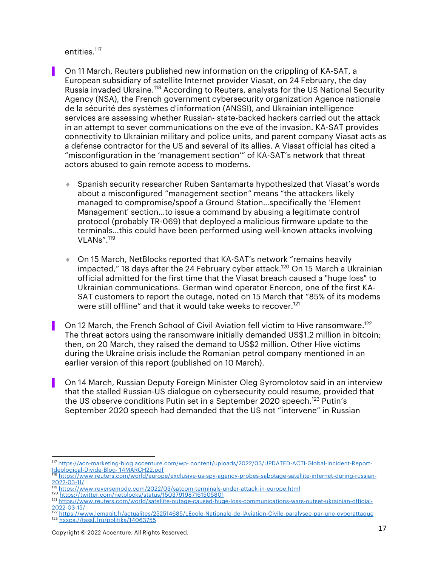entities.<sup>117</sup>

- On 11 March, Reuters published new information on the crippling of KA-SAT, a European subsidiary of satellite Internet provider Viasat, on 24 February, the day Russia invaded Ukraine.<sup>118</sup> According to Reuters, analysts for the US National Security Agency (NSA), the French government cybersecurity organization Agence nationale de la sécurité des systèmes d'information (ANSSI), and Ukrainian intelligence services are assessing whether Russian- state-backed hackers carried out the attack in an attempt to sever communications on the eve of the invasion. KA-SAT provides connectivity to Ukrainian military and police units, and parent company Viasat acts as a defense contractor for the US and several of its allies. A Viasat official has cited a "misconfiguration in the 'management section'" of KA-SAT's network that threat actors abused to gain remote access to modems.
	- ◆ Spanish security researcher Ruben Santamarta hypothesized that Viasat's words about a misconfigured "management section" means "the attackers likely managed to compromise/spoof a Ground Station…specifically the 'Element Management' section…to issue a command by abusing a legitimate control protocol (probably TR-069) that deployed a malicious firmware update to the terminals…this could have been performed using well-known attacks involving VLANs". 119
	- On 15 March, NetBlocks reported that KA-SAT's network "remains heavily impacted," 18 days after the 24 February cyber attack. <sup>120</sup> On 15 March a Ukrainian official admitted for the first time that the Viasat breach caused a "huge loss" to Ukrainian communications. German wind operator Enercon, one of the first KA-SAT customers to report the outage, noted on 15 March that "85% of its modems were still offline" and that it would take weeks to recover. 121
	- On 12 March, the French School of Civil Aviation fell victim to Hive ransomware.<sup>122</sup> The threat actors using the ransomware initially demanded US\$1.2 million in bitcoin; then, on 20 March, they raised the demand to US\$2 million. Other Hive victims during the Ukraine crisis include the Romanian petrol company mentioned in an earlier version of this report (published on 10 March).
- On 14 March, Russian Deputy Foreign Minister Oleg Syromolotov said in an interview that the stalled Russian-US dialogue on cybersecurity could resume, provided that the US observe conditions Putin set in a September 2020 speech.<sup>123</sup> Putin's September 2020 speech had demanded that the US not "intervene" in Russian

<sup>117</sup> https://acn-marketing-blog.accenture.com/wp- content/uploads/2022/03/UPDATED-ACTI-Global-Incident-Report-

https://www.reuters.com/world/europe/exclusive-us-spy-agency-probes-sabotage-satellite-internet-during-russian-2022-03-11/

<sup>&</sup>lt;sup>119</sup> https://www.reversemode.com/2022/03/satcom-terminals-under-attack-in-europe.html<br><sup>120</sup> https://twitter.com/netblocks/status/1503791987161505801

<sup>121</sup> https://www.reuters.com/world/satellite-outage-caused-huge-loss-communications-wars-outset-ukrainian-official-<br>2022-03-15/

<sup>2022-03-15/</sup> <sup>122</sup> https://www.lemagit.fr/actualites/252514685/LEcole-Nationale-de-lAviation-Civile-paralysee-par-une-cyberattaque <sup>123</sup> hxxps://tass[.]ru/politika/14063755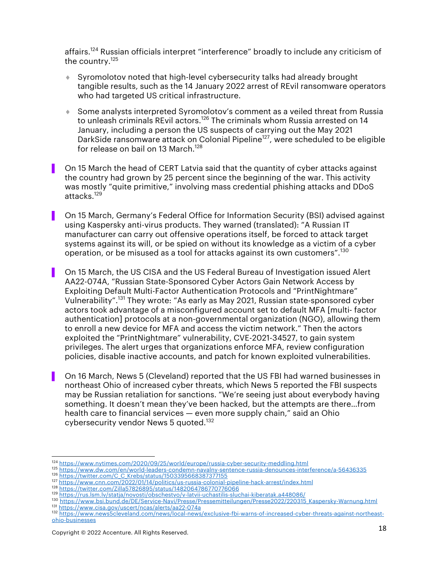affairs. <sup>124</sup> Russian officials interpret "interference" broadly to include any criticism of the country.125

- ♦ Syromolotov noted that high-level cybersecurity talks had already brought tangible results, such as the 14 January 2022 arrest of REvil ransomware operators who had targeted US critical infrastructure.
- ♦ Some analysts interpreted Syromolotov's comment as a veiled threat from Russia to unleash criminals REvil actors.<sup>126</sup> The criminals whom Russia arrested on 14 January, including a person the US suspects of carrying out the May 2021 DarkSide ransomware attack on Colonial Pipeline<sup>127</sup>, were scheduled to be eligible for release on bail on 13 March. 128
- On 15 March the head of CERT Latvia said that the quantity of cyber attacks against the country had grown by 25 percent since the beginning of the war. This activity was mostly "quite primitive," involving mass credential phishing attacks and DDoS attacks.<sup>129</sup>
- ▌ On 15 March, Germany's Federal Office for Information Security (BSI) advised against using Kaspersky anti-virus products. They warned (translated): "A Russian IT manufacturer can carry out offensive operations itself, be forced to attack target systems against its will, or be spied on without its knowledge as a victim of a cyber operation, or be misused as a tool for attacks against its own customers". $^{\rm 130}$
- ▌ On 15 March, the US CISA and the US Federal Bureau of Investigation issued Alert AA22-074A, "Russian State-Sponsored Cyber Actors Gain Network Access by Exploiting Default Multi-Factor Authentication Protocols and "PrintNightmare" Vulnerability". <sup>131</sup> They wrote: "As early as May 2021, Russian state-sponsored cyber actors took advantage of a misconfigured account set to default MFA [multi- factor authentication] protocols at a non-governmental organization (NGO), allowing them to enroll a new device for MFA and access the victim network." Then the actors exploited the "PrintNightmare" vulnerability, CVE-2021-34527, to gain system privileges. The alert urges that organizations enforce MFA, review configuration policies, disable inactive accounts, and patch for known exploited vulnerabilities.
- ▌ On 16 March, News 5 (Cleveland) reported that the US FBI had warned businesses in northeast Ohio of increased cyber threats, which News 5 reported the FBI suspects may be Russian retaliation for sanctions. "We're seeing just about everybody having something. It doesn't mean they've been hacked, but the attempts are there…from health care to financial services — even more supply chain," said an Ohio cybersecurity vendor News 5 quoted.<sup>132</sup>

<sup>124</sup> https://www.nytimes.com/2020/09/25/world/europe/russia-cyber-security-meddling.html

<sup>125</sup> https://www.dw.com/en/world-leaders-condemn-navalny-sentence-russia-denounces-interference/a-56436335<br>126 https://twitter.com/C\_C\_Krebs/status/1503395668387377155

<sup>127</sup> https://www.cnn.com/2022/01/14/politics/us-russia-colonial-pipeline-hack-arrest/index.html<br>128 https://twitter.com/Zilla57826895/status/1482064786770776066

<sup>129</sup> https://rus.lsm.lv/statja/novosti/obschestvo/v-latvii-uchastilis-sluchai-kiberatak.a448086/

<sup>130</sup> https://www.bsi.bund.de/DE/Service-Navi/Presse/Pressemitteilungen/Presse2022/220315\_Kaspersky-Warnung.html<br>131 https://www.cisa.gov/uscert/ncas/alerts/aa22-074a

<sup>132</sup> https://www.news5cleveland.com/news/local-news/exclusive-fbi-warns-of-increased-cyber-threats-against-northeastohio-businesses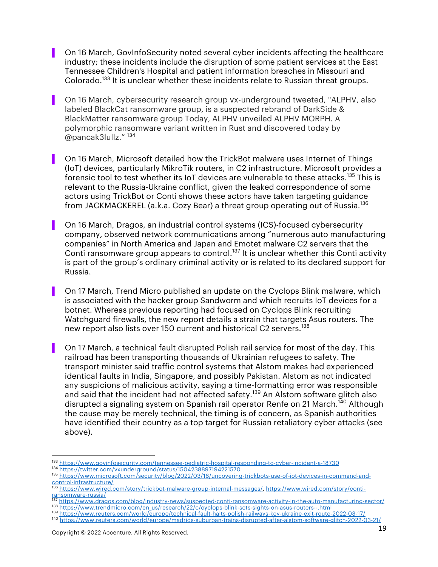- On 16 March, GovInfoSecurity noted several cyber incidents affecting the healthcare industry; these incidents include the disruption of some patient services at the East Tennessee Children's Hospital and patient information breaches in Missouri and Colorado.<sup>133</sup> It is unclear whether these incidents relate to Russian threat groups.
- ▌ On 16 March, cybersecurity research group vx-underground tweeted, "ALPHV, also labeled BlackCat ransomware group, is a suspected rebrand of DarkSide & BlackMatter ransomware group Today, ALPHV unveiled ALPHV MORPH. A polymorphic ransomware variant written in Rust and discovered today by @pancak3lullz." <sup>134</sup>
- ▌ On 16 March, Microsoft detailed how the TrickBot malware uses Internet of Things (IoT) devices, particularly MikroTik routers, in C2 infrastructure. Microsoft provides a forensic tool to test whether its IoT devices are vulnerable to these attacks.<sup>135</sup> This is relevant to the Russia-Ukraine conflict, given the leaked correspondence of some actors using TrickBot or Conti shows these actors have taken targeting guidance from JACKMACKEREL (a.k.a. Cozy Bear) a threat group operating out of Russia.<sup>136</sup>
- ▌ On 16 March, Dragos, an industrial control systems (ICS)-focused cybersecurity company, observed network communications among "numerous auto manufacturing companies" in North America and Japan and Emotet malware C2 servers that the Conti ransomware group appears to control.<sup>137</sup> It is unclear whether this Conti activity is part of the group's ordinary criminal activity or is related to its declared support for Russia.
- ▌ On 17 March, Trend Micro published an update on the Cyclops Blink malware, which is associated with the hacker group Sandworm and which recruits IoT devices for a botnet. Whereas previous reporting had focused on Cyclops Blink recruiting Watchguard firewalls, the new report details a strain that targets Asus routers. The new report also lists over 150 current and historical C2 servers.<sup>138</sup>
- ▌ On 17 March, a technical fault disrupted Polish rail service for most of the day. This railroad has been transporting thousands of Ukrainian refugees to safety. The transport minister said traffic control systems that Alstom makes had experienced identical faults in India, Singapore, and possibly Pakistan. Alstom as not indicated any suspicions of malicious activity, saying a time-formatting error was responsible and said that the incident had not affected safety.<sup>139</sup> An Alstom software glitch also disrupted a signaling system on Spanish rail operator Renfe on 21 March.<sup>140</sup> Although the cause may be merely technical, the timing is of concern, as Spanish authorities have identified their country as a top target for Russian retaliatory cyber attacks (see above).

<sup>133</sup> https://www.govinfosecurity.com/tennessee-pediatric-hospital-responding-to-cyber-incident-a-18730 <sup>134</sup> https://twitter.com/vxunderground/status/1504238897194221570

<sup>135</sup> https://www.microsoft.com/security/blog/2022/03/16/uncovering-trickbots-use-of-iot-devices-in-command-and-<br>control-infrastructure/ control-infrastructure/

<sup>136</sup> https://www.wired.com/story/trickbot-malware-group-internal-messages/, https://www.wired.com/story/contiransomware-russia/<br>137 https://

<sup>137</sup> https://www.dragos.com/blog/industry-news/suspected-conti-ransomware-activity-in-the-auto-manufacturing-sector/<br>138 https://www.trendmicro.com/en\_us/research/22/c/cyclops-blink-sets-sights-on-asus-routers--.html

<sup>139</sup> https://www.reuters.com/world/europe/technical-fault-halts-polish-railways-key-ukraine-exit-route-2022-03-17/

<sup>140</sup> https://www.reuters.com/world/europe/madrids-suburban-trains-disrupted-after-alstom-software-glitch-2022-03-21/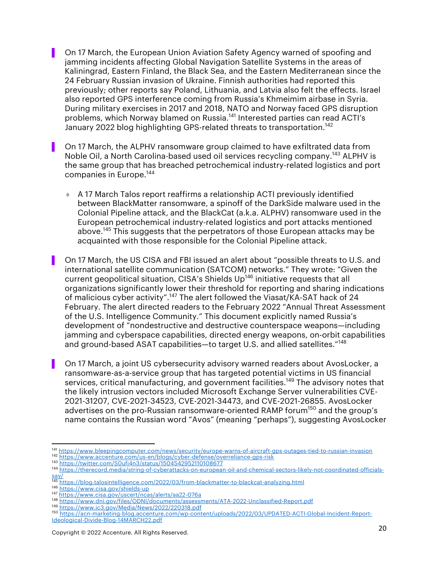▌ On 17 March, the European Union Aviation Safety Agency warned of spoofing and jamming incidents affecting Global Navigation Satellite Systems in the areas of Kaliningrad, Eastern Finland, the Black Sea, and the Eastern Mediterranean since the 24 February Russian invasion of Ukraine. Finnish authorities had reported this previously; other reports say Poland, Lithuania, and Latvia also felt the effects. Israel also reported GPS interference coming from Russia's Khmeimim airbase in Syria. During military exercises in 2017 and 2018, NATO and Norway faced GPS disruption problems, which Norway blamed on Russia.<sup>141</sup> Interested parties can read ACTI's January 2022 blog highlighting GPS-related threats to transportation.<sup>142</sup>

On 17 March, the ALPHV ransomware group claimed to have exfiltrated data from Noble Oil, a North Carolina-based used oil services recycling company.<sup>143</sup> ALPHV is the same group that has breached petrochemical industry-related logistics and port companies in Europe.144

 $\triangle$  A 17 March Talos report reaffirms a relationship ACTI previously identified between BlackMatter ransomware, a spinoff of the DarkSide malware used in the Colonial Pipeline attack, and the BlackCat (a.k.a. ALPHV) ransomware used in the European petrochemical industry-related logistics and port attacks mentioned above.<sup>145</sup> This suggests that the perpetrators of those European attacks may be acquainted with those responsible for the Colonial Pipeline attack.

On 17 March, the US CISA and FBI issued an alert about "possible threats to U.S. and international satellite communication (SATCOM) networks." They wrote: "Given the current geopolitical situation, CISA's Shields Up<sup>146</sup> initiative requests that all organizations significantly lower their threshold for reporting and sharing indications of malicious cyber activity".<sup>147</sup> The alert followed the Viasat/KA-SAT hack of 24 February. The alert directed readers to the February 2022 "Annual Threat Assessment of the U.S. Intelligence Community." This document explicitly named Russia's development of "nondestructive and destructive counterspace weapons—including jamming and cyberspace capabilities, directed energy weapons, on-orbit capabilities and ground-based ASAT capabilities-to target U.S. and allied satellites."<sup>148</sup>

▌ On 17 March, a joint US cybersecurity advisory warned readers about AvosLocker, a ransomware-as-a-service group that has targeted potential victims in US financial services, critical manufacturing, and government facilities.<sup>149</sup> The advisory notes that the likely intrusion vectors included Microsoft Exchange Server vulnerabilities CVE-2021-31207, CVE-2021-34523, CVE-2021-34473, and CVE-2021-26855. AvosLocker advertises on the pro-Russian ransomware-oriented RAMP forum<sup>150</sup> and the group's name contains the Russian word "Avos" (meaning "perhaps"), suggesting AvosLocker

<sup>141</sup> https://www.bleepingcomputer.com/news/security/europe-warns-of-aircraft-gps-outages-tied-to-russian-invasion <sup>142</sup> https://www.accenture.com/us-en/blogs/cyber-defense/overreliance-gps-risk

<sup>143</sup> https://twitter.com/S0ufi4n3/status/1504542952110108677

<sup>144</sup> https://therecord.media/string-of-cyberattacks-on-european-oil-and-chemical-sectors-likely-not-coordinated-officialssay/

<sup>145</sup> https://blog.talosintelligence.com/2022/03/from-blackmatter-to-blackcat-analyzing.html

<sup>146</sup> https://www.cisa.gov/shields-up<br>147 https://www.cisa.gov/uscert/ncas/alerts/aa22-076a

<sup>148</sup> https://www.dni.gov/files/ODNI/documents/assessments/ATA-2022-Unclassified-Report.pdf

<sup>&</sup>lt;sup>150</sup> https://acn-marketing-blog.accenture.com/wp-content/uploads/2022/03/UPDATED-ACTI-Global-Incident-Report-Ideological-Divide-Blog-14MARCH22.pdf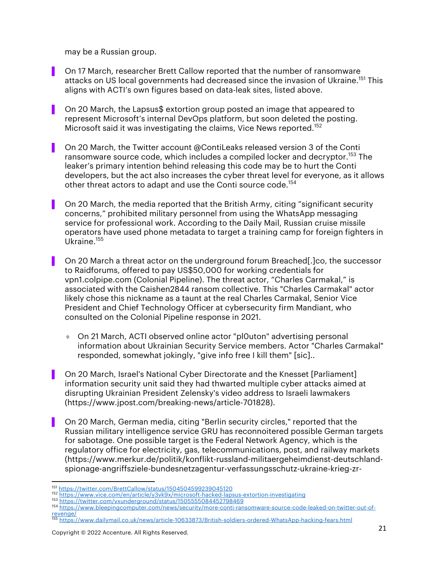may be a Russian group.

- On 17 March, researcher Brett Callow reported that the number of ransomware attacks on US local governments had decreased since the invasion of Ukraine.<sup>151</sup> This aligns with ACTI's own figures based on data-leak sites, listed above.
- On 20 March, the Lapsus\$ extortion group posted an image that appeared to represent Microsoft's internal DevOps platform, but soon deleted the posting. Microsoft said it was investigating the claims, Vice News reported.<sup>152</sup>
- ▌ On 20 March, the Twitter account @ContiLeaks released version 3 of the Conti ransomware source code, which includes a compiled locker and decryptor.<sup>153</sup> The leaker's primary intention behind releasing this code may be to hurt the Conti developers, but the act also increases the cyber threat level for everyone, as it allows other threat actors to adapt and use the Conti source code.<sup>154</sup>
- ▌ On 20 March, the media reported that the British Army, citing "significant security concerns," prohibited military personnel from using the WhatsApp messaging service for professional work. According to the Daily Mail, Russian cruise missile operators have used phone metadata to target a training camp for foreign fighters in Ukraine.155
- ▌ On 20 March a threat actor on the underground forum Breached[.]co, the successor to Raidforums, offered to pay US\$50,000 for working credentials for vpn1.colpipe.com (Colonial Pipeline). The threat actor, "Charles Carmakal," is associated with the Caishen2844 ransom collective. This "Charles Carmakal" actor likely chose this nickname as a taunt at the real Charles Carmakal, Senior Vice President and Chief Technology Officer at cybersecurity firm Mandiant, who consulted on the Colonial Pipeline response in 2021.
	- ◆ On 21 March, ACTI observed online actor "pl0uton" advertising personal information about Ukrainian Security Service members. Actor "Charles Carmakal" responded, somewhat jokingly, "give info free I kill them" [sic]..
- On 20 March, Israel's National Cyber Directorate and the Knesset [Parliament] information security unit said they had thwarted multiple cyber attacks aimed at disrupting Ukrainian President Zelensky's video address to Israeli lawmakers (https://www.jpost.com/breaking-news/article-701828).
- ▌ On 20 March, German media, citing "Berlin security circles," reported that the Russian military intelligence service GRU has reconnoitered possible German targets for sabotage. One possible target is the Federal Network Agency, which is the regulatory office for electricity, gas, telecommunications, post, and railway markets (https://www.merkur.de/politik/konflikt-russland-militaergeheimdienst-deutschlandspionage-angriffsziele-bundesnetzagentur-verfassungsschutz-ukraine-krieg-zr-

<sup>&</sup>lt;sup>151</sup> https://twitter.com/BrettCallow/status/1504504599239045120<br><sup>152</sup> https://www.vice.com/en/article/y3vk9x/microsoft-hacked-lapsus-extortion-investigating

<sup>153</sup> https://twitter.com/vxunderground/status/1505555084452798469

<sup>154</sup> https://www.bleepingcomputer.com/news/security/more-conti-ransomware-source-code-leaked-on-twitter-out-ofrevenge/

<sup>155</sup> https://www.dailymail.co.uk/news/article-10633873/British-soldiers-ordered-WhatsApp-hacking-fears.html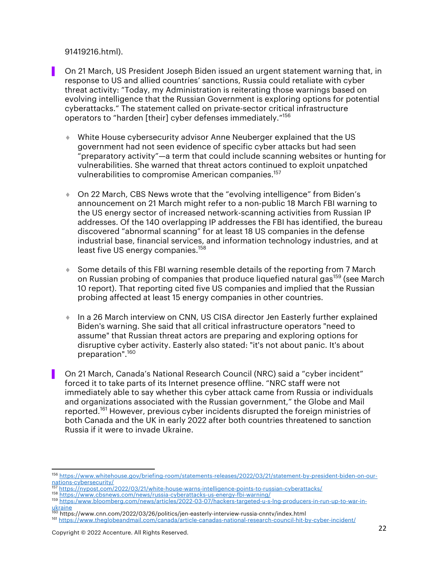91419216.html).

▌ On 21 March, US President Joseph Biden issued an urgent statement warning that, in response to US and allied countries' sanctions, Russia could retaliate with cyber threat activity: "Today, my Administration is reiterating those warnings based on evolving intelligence that the Russian Government is exploring options for potential cyberattacks." The statement called on private-sector critical infrastructure operators to "harden [their] cyber defenses immediately."<sup>156</sup>

- ¨ White House cybersecurity advisor Anne Neuberger explained that the US government had not seen evidence of specific cyber attacks but had seen "preparatory activity"—a term that could include scanning websites or hunting for vulnerabilities. She warned that threat actors continued to exploit unpatched vulnerabilities to compromise American companies.<sup>157</sup>
- ¨ On 22 March, CBS News wrote that the "evolving intelligence" from Biden's announcement on 21 March might refer to a non-public 18 March FBI warning to the US energy sector of increased network-scanning activities from Russian IP addresses. Of the 140 overlapping IP addresses the FBI has identified, the bureau discovered "abnormal scanning" for at least 18 US companies in the defense industrial base, financial services, and information technology industries, and at least five US energy companies.<sup>158</sup>
- $\bullet$  Some details of this FBI warning resemble details of the reporting from 7 March on Russian probing of companies that produce liquefied natural gas<sup>159</sup> (see March 10 report). That reporting cited five US companies and implied that the Russian probing affected at least 15 energy companies in other countries.
- In a 26 March interview on CNN, US CISA director Jen Easterly further explained Biden's warning. She said that all critical infrastructure operators "need to assume" that Russian threat actors are preparing and exploring options for disruptive cyber activity. Easterly also stated: "it's not about panic. It's about preparation".<sup>160</sup>
- ▌ On 21 March, Canada's National Research Council (NRC) said a "cyber incident" forced it to take parts of its Internet presence offline. "NRC staff were not immediately able to say whether this cyber attack came from Russia or individuals and organizations associated with the Russian government," the Globe and Mail reported.<sup>161</sup> However, previous cyber incidents disrupted the foreign ministries of both Canada and the UK in early 2022 after both countries threatened to sanction Russia if it were to invade Ukraine.

<sup>156</sup> https://www.whitehouse.gov/briefing-room/statements-releases/2022/03/21/statement-by-president-biden-on-ournations-cybersecurity/<br>
https://nypost.com/2022/03/21/white-house-warns-intelligence-points-to-russian-cyberattacks/

<sup>158</sup> https://www.cbsnews.com/news/russia-cyberattacks-us-energy-fbi-warning/

<sup>159</sup> https:/www.bloomberg.com/news/articles/2022-03-07/hackers-targeted-u-s-lng-producers-in-run-up-to-war-inukraine<br><sup>160</sup> https://www.cnn.com/2022/03/26/politics/jen-easterly-interview-russia-cnntv/index.html

<sup>161</sup> https://www.theglobeandmail.com/canada/article-canadas-national-research-council-hit-by-cyber-incident/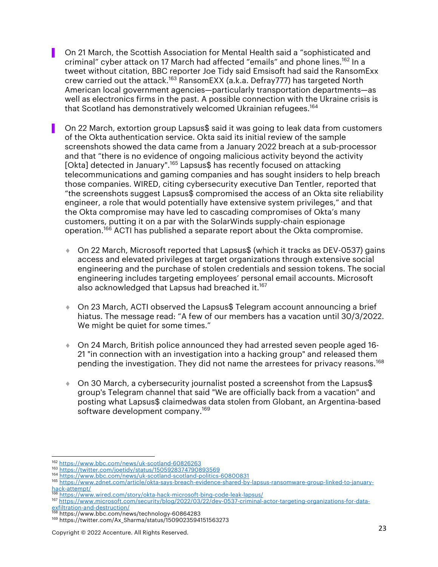▌ On 21 March, the Scottish Association for Mental Health said a "sophisticated and criminal" cyber attack on 17 March had affected "emails" and phone lines.162 In a tweet without citation, BBC reporter Joe Tidy said Emsisoft had said the RansomExx crew carried out the attack.163 RansomEXX (a.k.a. Defray777) has targeted North American local government agencies—particularly transportation departments—as well as electronics firms in the past. A possible connection with the Ukraine crisis is that Scotland has demonstratively welcomed Ukrainian refugees.<sup>164</sup>

On 22 March, extortion group Lapsus\$ said it was going to leak data from customers of the Okta authentication service. Okta said its initial review of the sample screenshots showed the data came from a January 2022 breach at a sub-processor and that "there is no evidence of ongoing malicious activity beyond the activity [Okta] detected in January".<sup>165</sup> Lapsus\$ has recently focused on attacking telecommunications and gaming companies and has sought insiders to help breach those companies. WIRED, citing cybersecurity executive Dan Tentler, reported that "the screenshots suggest Lapsus\$ compromised the access of an Okta site reliability engineer, a role that would potentially have extensive system privileges," and that the Okta compromise may have led to cascading compromises of Okta's many customers, putting it on a par with the SolarWinds supply-chain espionage operation.<sup>166</sup> ACTI has published a separate report about the Okta compromise.

- ¨ On 22 March, Microsoft reported that Lapsus\$ (which it tracks as DEV-0537) gains access and elevated privileges at target organizations through extensive social engineering and the purchase of stolen credentials and session tokens. The social engineering includes targeting employees' personal email accounts. Microsoft also acknowledged that Lapsus had breached it.<sup>167</sup>
- ◆ On 23 March, ACTI observed the Lapsus\$ Telegram account announcing a brief hiatus. The message read: "A few of our members has a vacation until 30/3/2022. We might be quiet for some times."
- ¨ On 24 March, British police announced they had arrested seven people aged 16- 21 "in connection with an investigation into a hacking group" and released them pending the investigation. They did not name the arrestees for privacy reasons.<sup>168</sup>
- $\bullet$  On 30 March, a cybersecurity journalist posted a screenshot from the Lapsus\$ group's Telegram channel that said "We are officially back from a vacation" and posting what Lapsus\$ claimedwas data stolen from Globant, an Argentina-based software development company.<sup>169</sup>

<sup>162</sup> https://www.bbc.com/news/uk-scotland-60826263<br><sup>163</sup> https://twitter.com/joetidy/status/1505928374790893569

<sup>164</sup> https://www.bbc.com/news/uk-scotland-scotland-politics-60800831

<sup>165</sup> https://www.zdnet.com/article/okta-says-breach-evidence-shared-by-lapsus-ransomware-group-linked-to-januaryhack-attempt/<br><sup>166</sup> https://www.wired.com/story/okta-hack-microsoft-bing-code-leak-lapsus/

<sup>167</sup> https://www.microsoft.com/security/blog/2022/03/22/dev-0537-criminal-actor-targeting-organizations-for-dataexfiltration-and-destruction/<br><sup>168</sup> https://www.bbc.com/news/technology-60864283

<sup>169</sup> https://twitter.com/Ax\_Sharma/status/1509023594151563273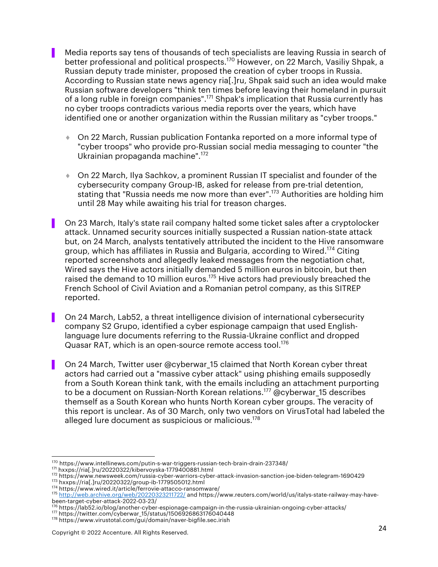▌ Media reports say tens of thousands of tech specialists are leaving Russia in search of better professional and political prospects.<sup>170</sup> However, on 22 March, Vasiliy Shpak, a Russian deputy trade minister, proposed the creation of cyber troops in Russia. According to Russian state news agency ria[.]ru, Shpak said such an idea would make Russian software developers "think ten times before leaving their homeland in pursuit of a long ruble in foreign companies".<sup>171</sup> Shpak's implication that Russia currently has no cyber troops contradicts various media reports over the years, which have identified one or another organization within the Russian military as "cyber troops."

- ◆ On 22 March, Russian publication Fontanka reported on a more informal type of "cyber troops" who provide pro-Russian social media messaging to counter "the Ukrainian propaganda machine".172
- ◆ On 22 March, Ilya Sachkov, a prominent Russian IT specialist and founder of the cybersecurity company Group-IB, asked for release from pre-trial detention, stating that "Russia needs me now more than ever".173 Authorities are holding him until 28 May while awaiting his trial for treason charges.
- ▌ On 23 March, Italy's state rail company halted some ticket sales after a cryptolocker attack. Unnamed security sources initially suspected a Russian nation-state attack but, on 24 March, analysts tentatively attributed the incident to the Hive ransomware group, which has affiliates in Russia and Bulgaria, according to Wired. <sup>174</sup> Citing reported screenshots and allegedly leaked messages from the negotiation chat, Wired says the Hive actors initially demanded 5 million euros in bitcoin, but then raised the demand to 10 million euros.<sup>175</sup> Hive actors had previously breached the French School of Civil Aviation and a Romanian petrol company, as this SITREP reported.
- ▌ On 24 March, Lab52, a threat intelligence division of international cybersecurity company S2 Grupo, identified a cyber espionage campaign that used Englishlanguage lure documents referring to the Russia-Ukraine conflict and dropped Quasar RAT, which is an open-source remote access tool.<sup>176</sup>
- On 24 March, Twitter user @cyberwar 15 claimed that North Korean cyber threat actors had carried out a "massive cyber attack" using phishing emails supposedly from a South Korean think tank, with the emails including an attachment purporting to be a document on Russian-North Korean relations.<sup>177</sup> @cyberwar 15 describes themself as a South Korean who hunts North Korean cyber groups. The veracity of this report is unclear. As of 30 March, only two vendors on VirusTotal had labeled the alleged lure document as suspicious or malicious.<sup>178</sup>

<sup>&</sup>lt;sup>170</sup> https://www.intellinews.com/putin-s-war-triggers-russian-tech-brain-drain-237348/<br><sup>171</sup> hxxps://ria[.]ru/20220322/kibervoyska-1779400881.html

<sup>172</sup> https://www.newsweek.com/russia-cyber-warriors-cyber-attack-invasion-sanction-joe-biden-telegram-1690429

<sup>&</sup>lt;sup>173</sup> hxxps://ria[.]ru/20220322/group-ib-1779505012.html<br><sup>174</sup> https://www.wired.it/article/ferrovie-attacco-ransomware/

<sup>175</sup> http://web.archive.org/web/20220323211722/ and https://www.reuters.com/world/us/italys-state-railway-may-havebeen-target-cyber-attack-2022-03-23/

<sup>176</sup> https://lab52.io/blog/another-cyber-espionage-campaign-in-the-russia-ukrainian-ongoing-cyber-attacks/<br><sup>177</sup> https://twitter.com/cyberwar\_15/status/1506926863176040448

<sup>178</sup> https://www.virustotal.com/gui/domain/naver-bigfile.sec.irish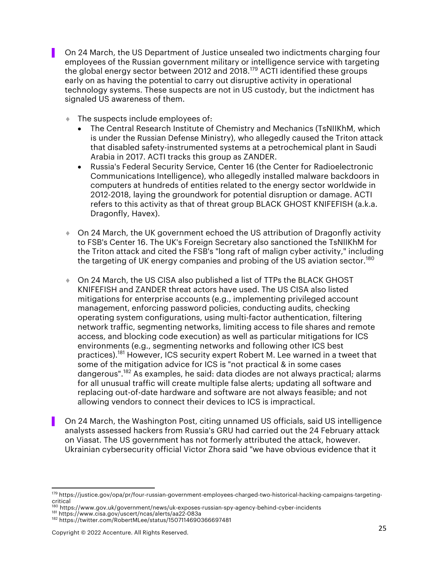▌ On 24 March, the US Department of Justice unsealed two indictments charging four employees of the Russian government military or intelligence service with targeting the global energy sector between 2012 and 2018.<sup>179</sup> ACTI identified these groups early on as having the potential to carry out disruptive activity in operational technology systems. These suspects are not in US custody, but the indictment has signaled US awareness of them.

- $\bullet$  The suspects include employees of:
	- The Central Research Institute of Chemistry and Mechanics (TsNIIKhM, which is under the Russian Defense Ministry), who allegedly caused the Triton attack that disabled safety-instrumented systems at a petrochemical plant in Saudi Arabia in 2017. ACTI tracks this group as ZANDER.
	- Russia's Federal Security Service, Center 16 (the Center for Radioelectronic Communications Intelligence), who allegedly installed malware backdoors in computers at hundreds of entities related to the energy sector worldwide in 2012-2018, laying the groundwork for potential disruption or damage. ACTI refers to this activity as that of threat group BLACK GHOST KNIFEFISH (a.k.a. Dragonfly, Havex).
- On 24 March, the UK government echoed the US attribution of Dragonfly activity to FSB's Center 16. The UK's Foreign Secretary also sanctioned the TsNIIKhM for the Triton attack and cited the FSB's "long raft of malign cyber activity," including the targeting of UK energy companies and probing of the US aviation sector.<sup>180</sup>
- ♦ On 24 March, the US CISA also published a list of TTPs the BLACK GHOST KNIFEFISH and ZANDER threat actors have used. The US CISA also listed mitigations for enterprise accounts (e.g., implementing privileged account management, enforcing password policies, conducting audits, checking operating system configurations, using multi-factor authentication, filtering network traffic, segmenting networks, limiting access to file shares and remote access, and blocking code execution) as well as particular mitigations for ICS environments (e.g., segmenting networks and following other ICS best practices).<sup>181</sup> However, ICS security expert Robert M. Lee warned in a tweet that some of the mitigation advice for ICS is "not practical & in some cases dangerous".<sup>182</sup> As examples, he said: data diodes are not always practical; alarms for all unusual traffic will create multiple false alerts; updating all software and replacing out-of-date hardware and software are not always feasible; and not allowing vendors to connect their devices to ICS is impractical.
- ▌ On 24 March, the Washington Post, citing unnamed US officials, said US intelligence analysts assessed hackers from Russia's GRU had carried out the 24 February attack on Viasat. The US government has not formerly attributed the attack, however. Ukrainian cybersecurity official Victor Zhora said "we have obvious evidence that it

<sup>179</sup> https://justice.gov/opa/pr/four-russian-government-employees-charged-two-historical-hacking-campaigns-targetingcritical

<sup>&</sup>lt;sup>180</sup> https://www.gov.uk/government/news/uk-exposes-russian-spy-agency-behind-cyber-incidents<br><sup>181</sup> https://www.cisa.gov/uscert/ncas/alerts/aa22-083a

<sup>182</sup> https://twitter.com/RobertMLee/status/1507114690366697481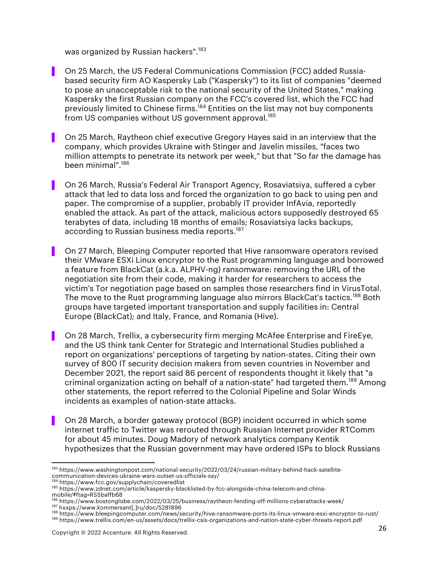was organized by Russian hackers".<sup>183</sup>

- On 25 March, the US Federal Communications Commission (FCC) added Russiabased security firm AO Kaspersky Lab ("Kaspersky") to its list of companies "deemed to pose an unacceptable risk to the national security of the United States," making Kaspersky the first Russian company on the FCC's covered list, which the FCC had previously limited to Chinese firms.<sup>184</sup> Entities on the list may not buy components from US companies without US government approval.<sup>185</sup>
- ▌ On 25 March, Raytheon chief executive Gregory Hayes said in an interview that the company, which provides Ukraine with Stinger and Javelin missiles, "faces two million attempts to penetrate its network per week," but that "So far the damage has been minimal".186
- ▌ On 26 March, Russia's Federal Air Transport Agency, Rosaviatsiya, suffered a cyber attack that led to data loss and forced the organization to go back to using pen and paper. The compromise of a supplier, probably IT provider InfAvia, reportedly enabled the attack. As part of the attack, malicious actors supposedly destroyed 65 terabytes of data, including 18 months of emails; Rosaviatsiya lacks backups, according to Russian business media reports.<sup>187</sup>
- ▌ On 27 March, Bleeping Computer reported that Hive ransomware operators revised their VMware ESXi Linux encryptor to the Rust programming language and borrowed a feature from BlackCat (a.k.a. ALPHV-ng) ransomware: removing the URL of the negotiation site from their code, making it harder for researchers to access the victim's Tor negotiation page based on samples those researchers find in VirusTotal. The move to the Rust programming language also mirrors BlackCat's tactics.<sup>188</sup> Both groups have targeted important transportation and supply facilities in: Central Europe (BlackCat); and Italy, France, and Romania (Hive).
- ▌ On 28 March, Trellix, a cybersecurity firm merging McAfee Enterprise and FireEye, and the US think tank Center for Strategic and International Studies published a report on organizations' perceptions of targeting by nation-states. Citing their own survey of 800 IT security decision makers from seven countries in November and December 2021, the report said 86 percent of respondents thought it likely that "a criminal organization acting on behalf of a nation-state" had targeted them.189 Among other statements, the report referred to the Colonial Pipeline and Solar Winds incidents as examples of nation-state attacks.
- ▌ On 28 March, a border gateway protocol (BGP) incident occurred in which some internet traffic to Twitter was rerouted through Russian Internet provider RTComm for about 45 minutes. Doug Madory of network analytics company Kentik hypothesizes that the Russian government may have ordered ISPs to block Russians

<sup>184</sup> https://www.fcc.gov/supplychain/coveredlist

<sup>&</sup>lt;sup>183</sup> https://www.washingtonpost.com/national-security/2022/03/24/russian-military-behind-hack-satellitecommunication-devices-ukraine-wars-outset-us-officials-say/

<sup>185</sup> https://www.zdnet.com/article/kaspersky-blacklisted-by-fcc-alongside-china-telecom-and-chinamobile/#ftag=RSSbaffb68

<sup>&</sup>lt;sup>186</sup> https://www.bostonglobe.com/2022/03/25/business/raytheon-fending-off-millions-cyberattacks-week/<br><sup>187</sup> hxxps://www.kommersant[.]ru/doc/5281896

<sup>&</sup>lt;sup>188</sup> https://www.bleepingcomputer.com/news/security/hive-ransomware-ports-its-linux-vmware-esxi-encryptor-to-rust/

<sup>189</sup> https://www.trellix.com/en-us/assets/docs/trellix-csis-organizations-and-nation-state-cyber-threats-report.pdf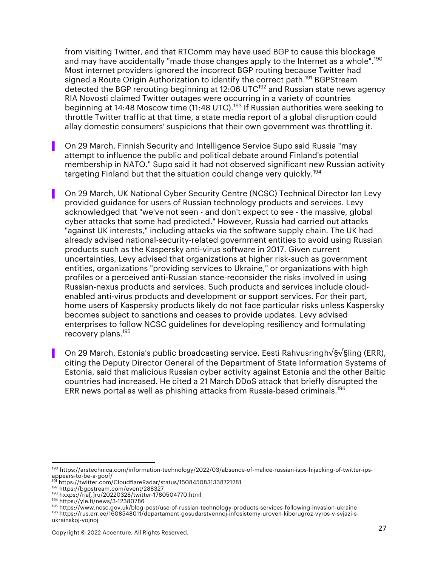from visiting Twitter, and that RTComm may have used BGP to cause this blockage and may have accidentally "made those changes apply to the Internet as a whole".<sup>190</sup> Most internet providers ignored the incorrect BGP routing because Twitter had signed a Route Origin Authorization to identify the correct path.<sup>191</sup> BGPStream detected the BGP rerouting beginning at 12:06 UTC<sup>192</sup> and Russian state news agency RIA Novosti claimed Twitter outages were occurring in a variety of countries beginning at 14:48 Moscow time (11:48 UTC).<sup>193</sup> If Russian authorities were seeking to throttle Twitter traffic at that time, a state media report of a global disruption could allay domestic consumers' suspicions that their own government was throttling it.

▌ On 29 March, Finnish Security and Intelligence Service Supo said Russia "may attempt to influence the public and political debate around Finland's potential membership in NATO." Supo said it had not observed significant new Russian activity targeting Finland but that the situation could change very quickly.<sup>194</sup>

On 29 March, UK National Cyber Security Centre (NCSC) Technical Director Ian Levy provided guidance for users of Russian technology products and services. Levy acknowledged that "we've not seen - and don't expect to see - the massive, global cyber attacks that some had predicted." However, Russia had carried out attacks "against UK interests," including attacks via the software supply chain. The UK had already advised national-security-related government entities to avoid using Russian products such as the Kaspersky anti-virus software in 2017. Given current uncertainties, Levy advised that organizations at higher risk-such as government entities, organizations "providing services to Ukraine," or organizations with high profiles or a perceived anti-Russian stance-reconsider the risks involved in using Russian-nexus products and services. Such products and services include cloudenabled anti-virus products and development or support services. For their part, home users of Kaspersky products likely do not face particular risks unless Kaspersky becomes subject to sanctions and ceases to provide updates. Levy advised enterprises to follow NCSC guidelines for developing resiliency and formulating recovery plans.195

▌ On 29 March, Estonia's public broadcasting service, Eesti Rahvusringh√§√§ling (ERR), citing the Deputy Director General of the Department of State Information Systems of Estonia, said that malicious Russian cyber activity against Estonia and the other Baltic countries had increased. He cited a 21 March DDoS attack that briefly disrupted the ERR news portal as well as phishing attacks from Russia-based criminals.196

<sup>190</sup> https://arstechnica.com/information-technology/2022/03/absence-of-malice-russian-isps-hijacking-of-twitter-ipsappears-to-be-a-goof/

<sup>191</sup> https://twitter.com/CloudflareRadar/status/1508450831338721281<br><sup>192</sup> https://bgpstream.com/event/288327

<sup>193</sup> hxxps://ria[.]ru/20220328/twitter-1780504770.html

<sup>194</sup> https://yle.fi/news/3-12380786

<sup>1&</sup>lt;sup>95</sup> https://www.ncsc.gov.uk/blog-post/use-of-russian-technology-products-services-following-invasion-ukraine<br><sup>196</sup> https://rus.err.ee/1608548011/departament-gosudarstvennoj-infosistemy-uroven-kiberugroz-vyros-v-svjazi-sukrainskoj-vojnoj

Copyright © 2022 Accenture. All Rights Reserved. 27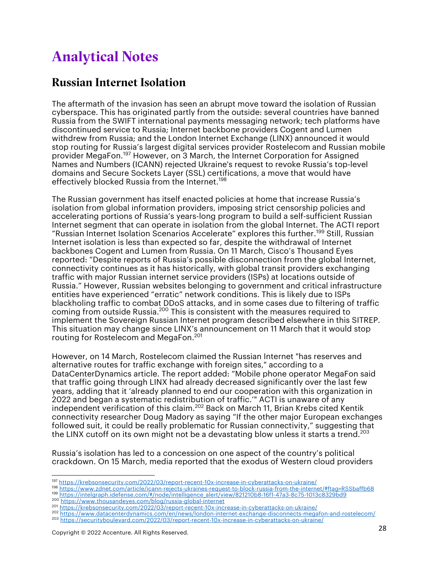# Analytical Notes

#### Russian Internet Isolation

The aftermath of the invasion has seen an abrupt move toward the isolation of Russian cyberspace. This has originated partly from the outside: several countries have banned Russia from the SWIFT international payments messaging network; tech platforms have discontinued service to Russia; Internet backbone providers Cogent and Lumen withdrew from Russia; and the London Internet Exchange (LINX) announced it would stop routing for Russia's largest digital services provider Rostelecom and Russian mobile provider MegaFon.<sup>197</sup> However, on 3 March, the Internet Corporation for Assigned Names and Numbers (ICANN) rejected Ukraine's request to revoke Russia's top-level domains and Secure Sockets Layer (SSL) certifications, a move that would have effectively blocked Russia from the Internet. 198

The Russian government has itself enacted policies at home that increase Russia's isolation from global information providers, imposing strict censorship policies and accelerating portions of Russia's years-long program to build a self-sufficient Russian Internet segment that can operate in isolation from the global Internet. The ACTI report "Russian Internet Isolation Scenarios Accelerate" explores this further. <sup>199</sup> Still, Russian Internet isolation is less than expected so far, despite the withdrawal of Internet backbones Cogent and Lumen from Russia. On 11 March, Cisco's Thousand Eyes reported: "Despite reports of Russia's possible disconnection from the global Internet, connectivity continues as it has historically, with global transit providers exchanging traffic with major Russian internet service providers (ISPs) at locations outside of Russia." However, Russian websites belonging to government and critical infrastructure entities have experienced "erratic" network conditions. This is likely due to ISPs blackholing traffic to combat DDoS attacks, and in some cases due to filtering of traffic coming from outside Russia. <sup>200</sup> This is consistent with the measures required to implement the Sovereign Russian Internet program described elsewhere in this SITREP. This situation may change since LINX's announcement on 11 March that it would stop routing for Rostelecom and MegaFon. 201

However, on 14 March, Rostelecom claimed the Russian Internet "has reserves and alternative routes for traffic exchange with foreign sites," according to a DataCenterDynamics article. The report added: "Mobile phone operator MegaFon said that traffic going through LINX had already decreased significantly over the last few years, adding that it 'already planned to end our cooperation with this organization in 2022 and began a systematic redistribution of traffic.'" ACTI is unaware of any independent verification of this claim.<sup>202</sup> Back on March 11, Brian Krebs cited Kentik connectivity researcher Doug Madory as saying "If the other major European exchanges followed suit, it could be really problematic for Russian connectivity," suggesting that the LINX cutoff on its own might not be a devastating blow unless it starts a trend.<sup>203</sup>

Russia's isolation has led to a concession on one aspect of the country's political crackdown. On 15 March, media reported that the exodus of Western cloud providers

<sup>&</sup>lt;sup>197</sup> https://krebsonsecurity.com/2022/03/report-recent-10x-increase-in-cyberattacks-on-ukraine/<br><sup>198</sup> https://www.zdnet.com/article/icann-rejects-ukraines-request-to-block-russia-from-the-internet/#ftag=RSSbaffb68

<sup>199</sup> https://intelgraph.idefense.com/#/node/intelligence\_alert/view/821210b8-16f1-47a3-8c75-1013c8329bd9

<sup>200</sup> https://www.thousandeyes.com/blog/russia-global-internet<br>201 https://www.thousandeyes.com/blog/russia-global-internet<br>201 https://krebsonsecurity.com/2022/03/report-recent-10x-increase-in-cyberattacks-on-ukraine/

<sup>202</sup> https://www.datacenterdynamics.com/en/news/london-internet-exchange-disconnects-megafon-and-rostelecom/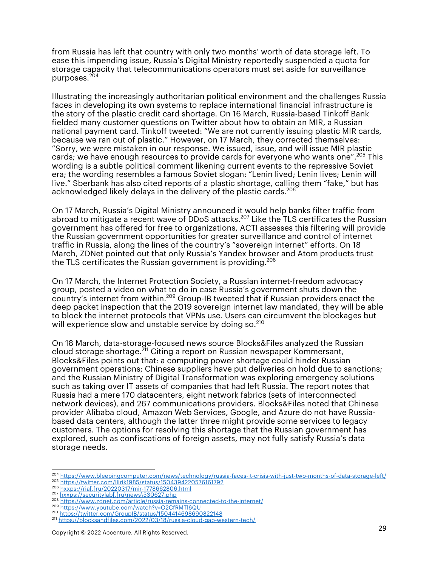from Russia has left that country with only two months' worth of data storage left. To ease this impending issue, Russia's Digital Ministry reportedly suspended a quota for storage capacity that telecommunications operators must set aside for surveillance purposes. 204

Illustrating the increasingly authoritarian political environment and the challenges Russia faces in developing its own systems to replace international financial infrastructure is the story of the plastic credit card shortage. On 16 March, Russia-based Tinkoff Bank fielded many customer questions on Twitter about how to obtain an MIR, a Russian national payment card. Tinkoff tweeted: "We are not currently issuing plastic MIR cards, because we ran out of plastic." However, on 17 March, they corrected themselves: "Sorry, we were mistaken in our response. We issued, issue, and will issue MIR plastic cards; we have enough resources to provide cards for everyone who wants one".<sup>205</sup> This wording is a subtle political comment likening current events to the repressive Soviet era; the wording resembles a famous Soviet slogan: "Lenin lived; Lenin lives; Lenin will live." Sberbank has also cited reports of a plastic shortage, calling them "fake," but has acknowledged likely delays in the delivery of the plastic cards.<sup>206</sup>

On 17 March, Russia's Digital Ministry announced it would help banks filter traffic from abroad to mitigate a recent wave of DDoS attacks.<sup>207</sup> Like the TLS certificates the Russian government has offered for free to organizations, ACTI assesses this filtering will provide the Russian government opportunities for greater surveillance and control of internet traffic in Russia, along the lines of the country's "sovereign internet" efforts. On 18 March, ZDNet pointed out that only Russia's Yandex browser and Atom products trust the TLS certificates the Russian government is providing.<sup>208</sup>

On 17 March, the Internet Protection Society, a Russian internet-freedom advocacy group, posted a video on what to do in case Russia's government shuts down the country's internet from within.<sup>209</sup> Group-IB tweeted that if Russian providers enact the deep packet inspection that the 2019 sovereign internet law mandated, they will be able to block the internet protocols that VPNs use. Users can circumvent the blockages but will experience slow and unstable service by doing so.<sup>210</sup>

On 18 March, data-storage-focused news source Blocks&Files analyzed the Russian cloud storage shortage.211 Citing a report on Russian newspaper Kommersant, Blocks&Files points out that: a computing power shortage could hinder Russian government operations; Chinese suppliers have put deliveries on hold due to sanctions; and the Russian Ministry of Digital Transformation was exploring emergency solutions such as taking over IT assets of companies that had left Russia. The report notes that Russia had a mere 170 datacenters, eight network fabrics (sets of interconnected network devices), and 267 communications providers. Blocks&Files noted that Chinese provider Alibaba cloud, Amazon Web Services, Google, and Azure do not have Russiabased data centers, although the latter three might provide some services to legacy customers. The options for resolving this shortage that the Russian government has explored, such as confiscations of foreign assets, may not fully satisfy Russia's data storage needs.

<sup>204</sup> https://www.bleepingcomputer.com/news/technology/russia-faces-it-crisis-with-just-two-months-of-data-storage-left/

<sup>205</sup> https://twitter.com/llirik1985/status/1504394220576161792

<sup>&</sup>lt;sup>206</sup> hxxps://ria[.]ru/20220317/mir-1778662806.html<br><sup>207</sup> hxxps://securitylab[.]ru\news\530627.php

<sup>207</sup> hxxps://securitylab[.]ru\news\530627.php<br>208 https://www.zdnet.com/article/russia-remains-connected-to-the-internet/<br>209 https://www.youtube.com/watch?v=O2CfRMTl6QU

<sup>210</sup> https://twitter.com/GroupIB/status/1504414698690822148

<sup>211</sup> https://blocksandfiles.com/2022/03/18/russia-cloud-gap-western-tech/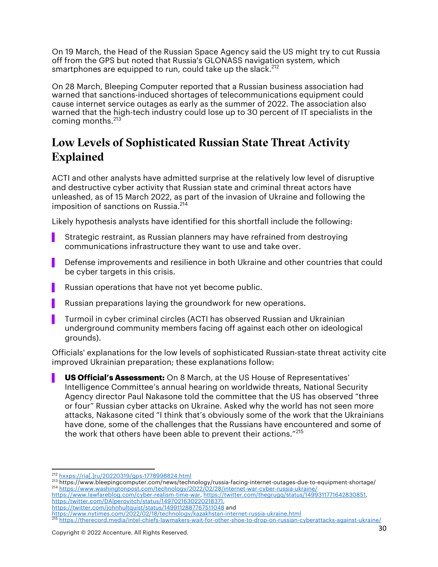On 19 March, the Head of the Russian Space Agency said the US might try to cut Russia off from the GPS but noted that Russia's GLONASS navigation system, which smartphones are equipped to run, could take up the slack.<sup>212</sup>

On 28 March, Bleeping Computer reported that a Russian business association had warned that sanctions-induced shortages of telecommunications equipment could cause internet service outages as early as the summer of 2022. The association also warned that the high-tech industry could lose up to 30 percent of IT specialists in the coming months.<sup>213</sup>

### Low Levels of Sophisticated Russian State Threat Activity Explained

ACTI and other analysts have admitted surprise at the relatively low level of disruptive and destructive cyber activity that Russian state and criminal threat actors have unleashed, as of 15 March 2022, as part of the invasion of Ukraine and following the imposition of sanctions on Russia.<sup>214</sup>

Likely hypothesis analysts have identified for this shortfall include the following:

- Strategic restraint, as Russian planners may have refrained from destroying communications infrastructure they want to use and take over.
- Defense improvements and resilience in both Ukraine and other countries that could be cyber targets in this crisis.
- Russian operations that have not yet become public.
- Russian preparations laying the groundwork for new operations.
- ▌ Turmoil in cyber criminal circles (ACTI has observed Russian and Ukrainian underground community members facing off against each other on ideological grounds).

Officials' explanations for the low levels of sophisticated Russian-state threat activity cite improved Ukrainian preparation; these explanations follow:

**US Official's Assessment:** On 8 March, at the US House of Representatives' Intelligence Committee's annual hearing on worldwide threats, National Security Agency director Paul Nakasone told the committee that the US has observed "three or four" Russian cyber attacks on Ukraine. Asked why the world has not seen more attacks, Nakasone cited "I think that's obviously some of the work that the Ukrainians have done, some of the challenges that the Russians have encountered and some of the work that others have been able to prevent their actions."<sup>215</sup>

https://www.lawfareblog.com/cyber-realism-time-war, https://twitter.com/thegrugq/status/1499311771642830851, https:/twitter.com/DAlperovitch/status/1497021630220218371,

<sup>212</sup> hxxps://ria[.]ru/20220319/gps-1778998824.html

<sup>&</sup>lt;sup>213</sup> https://www.bleepingcomputer.com/news/technology/russia-facing-internet-outages-due-to-equipment-shortage/ <sup>214</sup> https://www.washingtonpost.com/technology/2022/02/28/internet-war-cyber-russia-ukraine/

https://twitter.com/johnhultquist/status/1499112887767511048 and

https://www.nytimes.com/2022/02/18/technology/kazakhstan-internet-russia-ukraine.html

<sup>215</sup> https://therecord.media/intel-chiefs-lawmakers-wait-for-other-shoe-to-drop-on-russian-cyberattacks-against-ukraine/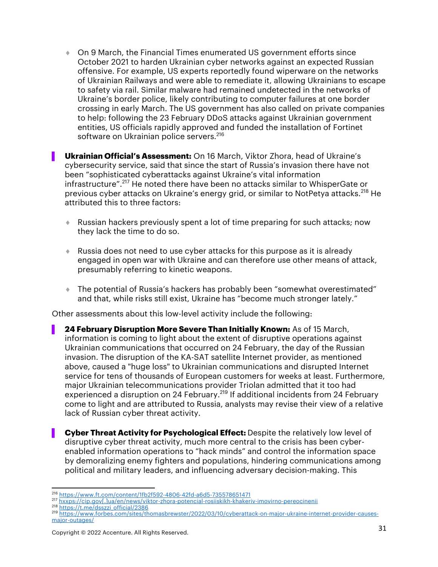$\bullet$  On 9 March, the Financial Times enumerated US government efforts since October 2021 to harden Ukrainian cyber networks against an expected Russian offensive. For example, US experts reportedly found wiperware on the networks of Ukrainian Railways and were able to remediate it, allowing Ukrainians to escape to safety via rail. Similar malware had remained undetected in the networks of Ukraine's border police, likely contributing to computer failures at one border crossing in early March. The US government has also called on private companies to help: following the 23 February DDoS attacks against Ukrainian government entities, US officials rapidly approved and funded the installation of Fortinet software on Ukrainian police servers. 216

▌ **Ukrainian Official's Assessment:** On 16 March, Viktor Zhora, head of Ukraine's cybersecurity service, said that since the start of Russia's invasion there have not been "sophisticated cyberattacks against Ukraine's vital information infrastructure".217 He noted there have been no attacks similar to WhisperGate or previous cyber attacks on Ukraine's energy grid, or similar to NotPetya attacks.<sup>218</sup> He attributed this to three factors:

- ▶ Russian hackers previously spent a lot of time preparing for such attacks; now they lack the time to do so.
- $\bullet$  Russia does not need to use cyber attacks for this purpose as it is already engaged in open war with Ukraine and can therefore use other means of attack, presumably referring to kinetic weapons.
- ¨ The potential of Russia's hackers has probably been "somewhat overestimated" and that, while risks still exist, Ukraine has "become much stronger lately."

Other assessments about this low-level activity include the following:

- ▌ **24 February Disruption More Severe Than Initially Known:** As of 15 March, information is coming to light about the extent of disruptive operations against Ukrainian communications that occurred on 24 February, the day of the Russian invasion. The disruption of the KA-SAT satellite Internet provider, as mentioned above, caused a "huge loss" to Ukrainian communications and disrupted Internet service for tens of thousands of European customers for weeks at least. Furthermore, major Ukrainian telecommunications provider Triolan admitted that it too had experienced a disruption on 24 February.<sup>219</sup> If additional incidents from 24 February come to light and are attributed to Russia, analysts may revise their view of a relative lack of Russian cyber threat activity.
	- ▌ **Cyber Threat Activity for Psychological Effect:** Despite the relatively low level of disruptive cyber threat activity, much more central to the crisis has been cyberenabled information operations to "hack minds" and control the information space by demoralizing enemy fighters and populations, hindering communications among political and military leaders, and influencing adversary decision-making. This

<sup>216</sup> https://www.ft.com/content/1fb2f592-4806-42fd-a6d5-735578651471

<sup>217</sup> hxxps://cip.gov[.]ua/en/news/viktor-zhora-potencial-rosiiskikh-khakeriv-imovirno-pereocinenii<br>218 https://t.me/dsszzi\_official/2386

<sup>219</sup> https://www.forbes.com/sites/thomasbrewster/2022/03/10/cyberattack-on-major-ukraine-internet-provider-causesmajor-outages/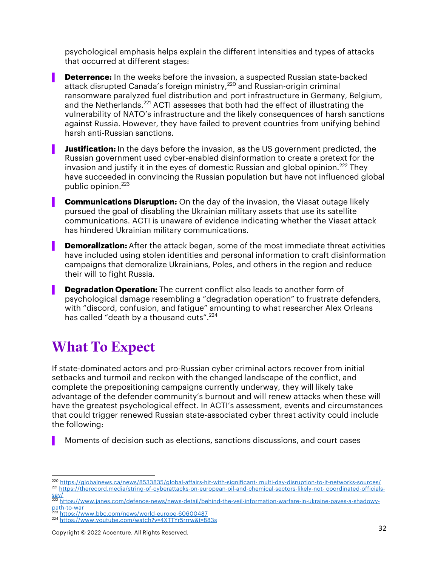psychological emphasis helps explain the different intensities and types of attacks that occurred at different stages:

**Deterrence:** In the weeks before the invasion, a suspected Russian state-backed attack disrupted Canada's foreign ministry,<sup>220</sup> and Russian-origin criminal ransomware paralyzed fuel distribution and port infrastructure in Germany, Belgium, and the Netherlands.<sup>221</sup> ACTI assesses that both had the effect of illustrating the vulnerability of NATO's infrastructure and the likely consequences of harsh sanctions against Russia. However, they have failed to prevent countries from unifying behind harsh anti-Russian sanctions.

**Justification:** In the days before the invasion, as the US government predicted, the Russian government used cyber-enabled disinformation to create a pretext for the invasion and justify it in the eyes of domestic Russian and global opinion. $^{222}$  They have succeeded in convincing the Russian population but have not influenced global public opinion. 223

**Communications Disruption:** On the day of the invasion, the Viasat outage likely pursued the goal of disabling the Ukrainian military assets that use its satellite communications. ACTI is unaware of evidence indicating whether the Viasat attack has hindered Ukrainian military communications.

**Demoralization:** After the attack began, some of the most immediate threat activities have included using stolen identities and personal information to craft disinformation campaigns that demoralize Ukrainians, Poles, and others in the region and reduce their will to fight Russia.

**Degradation Operation:** The current conflict also leads to another form of psychological damage resembling a "degradation operation" to frustrate defenders, with "discord, confusion, and fatigue" amounting to what researcher Alex Orleans has called "death by a thousand cuts".<sup>224</sup>

# What To Expect

If state-dominated actors and pro-Russian cyber criminal actors recover from initial setbacks and turmoil and reckon with the changed landscape of the conflict, and complete the prepositioning campaigns currently underway, they will likely take advantage of the defender community's burnout and will renew attacks when these will have the greatest psychological effect. In ACTI's assessment, events and circumstances that could trigger renewed Russian state-associated cyber threat activity could include the following:

▌ Moments of decision such as elections, sanctions discussions, and court cases

Copyright © 2022 Accenture. All Rights Reserved. 32

<sup>220</sup> https://globalnews.ca/news/8533835/global-affairs-hit-with-significant- multi-day-disruption-to-it-networks-sources/ <sup>221</sup> https://therecord.media/string-of-cyberattacks-on-european-oil-and-chemical-sectors-likely-not- coordinated-officialssay/

<sup>222</sup> https://www.janes.com/defence-news/news-detail/behind-the-veil-information-warfare-in-ukraine-paves-a-shadowypath-to-war<br>
<sup>223</sup> https://www.bbc.com/news/world-europe-60600487

<sup>224</sup> https://www.youtube.com/watch?v=4XTTYr5rrrw&t=883s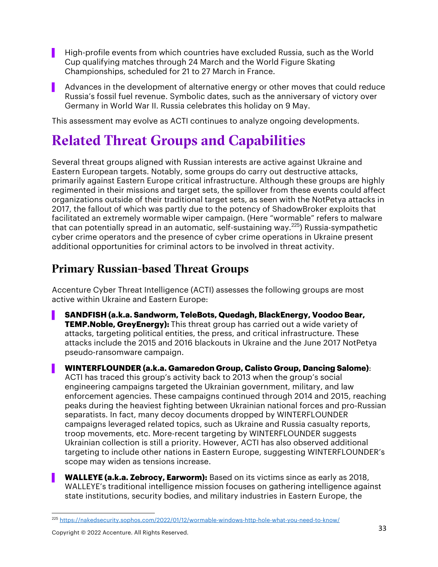- ▌ High-profile events from which countries have excluded Russia, such as the World Cup qualifying matches through 24 March and the World Figure Skating Championships, scheduled for 21 to 27 March in France.
- ▌ Advances in the development of alternative energy or other moves that could reduce Russia's fossil fuel revenue. Symbolic dates, such as the anniversary of victory over Germany in World War II. Russia celebrates this holiday on 9 May.

This assessment may evolve as ACTI continues to analyze ongoing developments.

# Related Threat Groups and Capabilities

Several threat groups aligned with Russian interests are active against Ukraine and Eastern European targets. Notably, some groups do carry out destructive attacks, primarily against Eastern Europe critical infrastructure. Although these groups are highly regimented in their missions and target sets, the spillover from these events could affect organizations outside of their traditional target sets, as seen with the NotPetya attacks in 2017, the fallout of which was partly due to the potency of ShadowBroker exploits that facilitated an extremely wormable wiper campaign. (Here "wormable" refers to malware that can potentially spread in an automatic, self-sustaining way.<sup>225</sup>) Russia-sympathetic cyber crime operators and the presence of cyber crime operations in Ukraine present additional opportunities for criminal actors to be involved in threat activity.

### Primary Russian-based Threat Groups

Accenture Cyber Threat Intelligence (ACTI) assesses the following groups are most active within Ukraine and Eastern Europe:

▌ **SANDFISH (a.k.a. Sandworm, TeleBots, Quedagh, BlackEnergy, Voodoo Bear, TEMP.Noble, GreyEnergy):** This threat group has carried out a wide variety of attacks, targeting political entities, the press, and critical infrastructure. These attacks include the 2015 and 2016 blackouts in Ukraine and the June 2017 NotPetya pseudo-ransomware campaign.

▌ **WINTERFLOUNDER (a.k.a. Gamaredon Group, Calisto Group, Dancing Salome)**: ACTI has traced this group's activity back to 2013 when the group's social engineering campaigns targeted the Ukrainian government, military, and law enforcement agencies. These campaigns continued through 2014 and 2015, reaching peaks during the heaviest fighting between Ukrainian national forces and pro-Russian separatists. In fact, many decoy documents dropped by WINTERFLOUNDER campaigns leveraged related topics, such as Ukraine and Russia casualty reports, troop movements, etc. More-recent targeting by WINTERFLOUNDER suggests Ukrainian collection is still a priority. However, ACTI has also observed additional targeting to include other nations in Eastern Europe, suggesting WINTERFLOUNDER's scope may widen as tensions increase.

▌ **WALLEYE (a.k.a. Zebrocy, Earworm):** Based on its victims since as early as 2018, WALLEYE's traditional intelligence mission focuses on gathering intelligence against state institutions, security bodies, and military industries in Eastern Europe, the

<sup>225</sup> https://nakedsecurity.sophos.com/2022/01/12/wormable-windows-http-hole-what-you-need-to-know/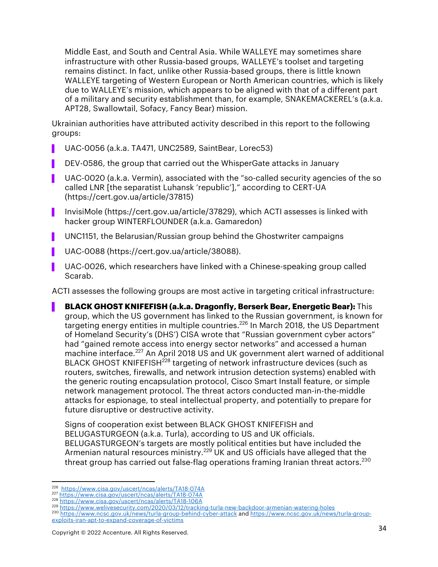Middle East, and South and Central Asia. While WALLEYE may sometimes share infrastructure with other Russia-based groups, WALLEYE's toolset and targeting remains distinct. In fact, unlike other Russia-based groups, there is little known WALLEYE targeting of Western European or North American countries, which is likely due to WALLEYE's mission, which appears to be aligned with that of a different part of a military and security establishment than, for example, SNAKEMACKEREL's (a.k.a. APT28, Swallowtail, Sofacy, Fancy Bear) mission.

Ukrainian authorities have attributed activity described in this report to the following groups:

- ▌ UAC-0056 (a.k.a. TA471, UNC2589, SaintBear, Lorec53)
- DEV-0586, the group that carried out the WhisperGate attacks in January
- UAC-0020 (a.k.a. Vermin), associated with the "so-called security agencies of the so called LNR [the separatist Luhansk 'republic']," according to CERT-UA (https://cert.gov.ua/article/37815)
- ▌ InvisiMole (https://cert.gov.ua/article/37829), which ACTI assesses is linked with hacker group WINTERFLOUNDER (a.k.a. Gamaredon)
- UNC1151, the Belarusian/Russian group behind the Ghostwriter campaigns
- ▌ UAC-0088 (https://cert.gov.ua/article/38088).
- ▌ UAC-0026, which researchers have linked with a Chinese-speaking group called Scarab.

ACTI assesses the following groups are most active in targeting critical infrastructure:

▌ **BLACK GHOST KNIFEFISH (a.k.a. Dragonfly, Berserk Bear, Energetic Bear):** This group, which the US government has linked to the Russian government, is known for targeting energy entities in multiple countries.<sup>226</sup> In March 2018, the US Department of Homeland Security's (DHS') CISA wrote that "Russian government cyber actors" had "gained remote access into energy sector networks" and accessed a human machine interface. <sup>227</sup> An April 2018 US and UK government alert warned of additional BLACK GHOST KNIFEFISH<sup>228</sup> targeting of network infrastructure devices (such as routers, switches, firewalls, and network intrusion detection systems) enabled with the generic routing encapsulation protocol, Cisco Smart Install feature, or simple network management protocol. The threat actors conducted man-in-the-middle attacks for espionage, to steal intellectual property, and potentially to prepare for future disruptive or destructive activity.

Signs of cooperation exist between BLACK GHOST KNIFEFISH and BELUGASTURGEON (a.k.a. Turla), according to US and UK officials. BELUGASTURGEON's targets are mostly political entities but have included the Armenian natural resources ministry.<sup>229</sup> UK and US officials have alleged that the threat group has carried out false-flag operations framing Iranian threat actors. $^{230}$ 

<sup>226</sup> https://www.cisa.gov/uscert/ncas/alerts/TA18-074A <sup>227</sup> https://www.cisa.gov/uscert/ncas/alerts/TA18-074A

<sup>228</sup> https://www.cisa.gov/uscert/ncas/alerts/TA18-106A<br>229 https://www.welivesecurity.com/2020/03/12/tracking-turla-new-backdoor-armenian-watering-holes

<sup>&</sup>lt;sup>230</sup> https://www.ncsc.gov.uk/news/turla-group-behind-cyber-attack and https://www.ncsc.gov.uk/news/turla-groupexploits-iran-apt-to-expand-coverage-of-victims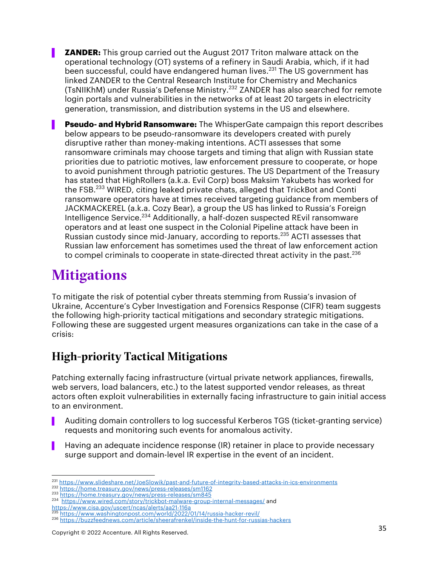**ZANDER:** This group carried out the August 2017 Triton malware attack on the operational technology (OT) systems of a refinery in Saudi Arabia, which, if it had been successful, could have endangered human lives. <sup>231</sup> The US government has linked ZANDER to the Central Research Institute for Chemistry and Mechanics (TsNIIKhM) under Russia's Defense Ministry. <sup>232</sup> ZANDER has also searched for remote login portals and vulnerabilities in the networks of at least 20 targets in electricity generation, transmission, and distribution systems in the US and elsewhere.

▌ **Pseudo- and Hybrid Ransomware:** The WhisperGate campaign this report describes below appears to be pseudo-ransomware its developers created with purely disruptive rather than money-making intentions. ACTI assesses that some ransomware criminals may choose targets and timing that align with Russian state priorities due to patriotic motives, law enforcement pressure to cooperate, or hope to avoid punishment through patriotic gestures. The US Department of the Treasury has stated that HighRollers (a.k.a. Evil Corp) boss Maksim Yakubets has worked for the FSB.<sup>233</sup> WIRED, citing leaked private chats, alleged that TrickBot and Conti ransomware operators have at times received targeting guidance from members of JACKMACKEREL (a.k.a. Cozy Bear), a group the US has linked to Russia's Foreign Intelligence Service.<sup>234</sup> Additionally, a half-dozen suspected REvil ransomware operators and at least one suspect in the Colonial Pipeline attack have been in Russian custody since mid-January, according to reports.<sup>235</sup> ACTI assesses that Russian law enforcement has sometimes used the threat of law enforcement action to compel criminals to cooperate in state-directed threat activity in the past.<sup>236</sup>

# **Mitigations**

To mitigate the risk of potential cyber threats stemming from Russia's invasion of Ukraine, Accenture's Cyber Investigation and Forensics Response (CIFR) team suggests the following high-priority tactical mitigations and secondary strategic mitigations. Following these are suggested urgent measures organizations can take in the case of a crisis:

### High-priority Tactical Mitigations

Patching externally facing infrastructure (virtual private network appliances, firewalls, web servers, load balancers, etc.) to the latest supported vendor releases, as threat actors often exploit vulnerabilities in externally facing infrastructure to gain initial access to an environment.

- ▌ Auditing domain controllers to log successful Kerberos TGS (ticket-granting service) requests and monitoring such events for anomalous activity.
- Having an adequate incidence response (IR) retainer in place to provide necessary surge support and domain-level IR expertise in the event of an incident.

<sup>231</sup> https://www.slideshare.net/JoeSlowik/past-and-future-of-integrity-based-attacks-in-ics-environments

<sup>232</sup> https://home.treasury.gov/news/press-releases/sm1162 <sup>233</sup> https://home.treasury.gov/news/press-releases/sm845

<sup>234</sup> https://www.wired.com/story/trickbot-malware-group-internal-messages/ and

https://www.cisa.gov/uscert/ncas/alerts/aa21-116a <sup>235</sup> https://www.washingtonpost.com/world/2022/01/14/russia-hacker-revil/

<sup>236</sup> https://buzzfeednews.com/article/sheerafrenkel/inside-the-hunt-for-russias-hackers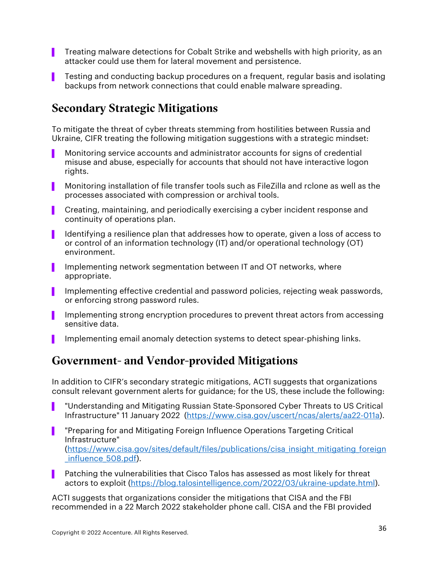- **Theating malware detections for Cobalt Strike and webshells with high priority, as an** attacker could use them for lateral movement and persistence.
- ▌ Testing and conducting backup procedures on a frequent, regular basis and isolating backups from network connections that could enable malware spreading.

### Secondary Strategic Mitigations

To mitigate the threat of cyber threats stemming from hostilities between Russia and Ukraine, CIFR treating the following mitigation suggestions with a strategic mindset:

- ▌ Monitoring service accounts and administrator accounts for signs of credential misuse and abuse, especially for accounts that should not have interactive logon rights.
- ▌ Monitoring installation of file transfer tools such as FileZilla and rclone as well as the processes associated with compression or archival tools.
- ▌ Creating, maintaining, and periodically exercising a cyber incident response and continuity of operations plan.
- ▌ Identifying a resilience plan that addresses how to operate, given a loss of access to or control of an information technology (IT) and/or operational technology (OT) environment.
- Implementing network segmentation between IT and OT networks, where appropriate.
- ▌ Implementing effective credential and password policies, rejecting weak passwords, or enforcing strong password rules.
- Implementing strong encryption procedures to prevent threat actors from accessing sensitive data.
- Implementing email anomaly detection systems to detect spear-phishing links.

#### Government- and Vendor-provided Mitigations

In addition to CIFR's secondary strategic mitigations, ACTI suggests that organizations consult relevant government alerts for guidance; for the US, these include the following:

- "Understanding and Mitigating Russian State-Sponsored Cyber Threats to US Critical Infrastructure" 11 January 2022 (https://www.cisa.gov/uscert/ncas/alerts/aa22-011a).
- ▌ "Preparing for and Mitigating Foreign Influence Operations Targeting Critical Infrastructure" (https://www.cisa.gov/sites/default/files/publications/cisa\_insight\_mitigating\_foreign \_influence\_508.pdf).
- Patching the vulnerabilities that Cisco Talos has assessed as most likely for threat actors to exploit (https://blog.talosintelligence.com/2022/03/ukraine-update.html).

ACTI suggests that organizations consider the mitigations that CISA and the FBI recommended in a 22 March 2022 stakeholder phone call. CISA and the FBI provided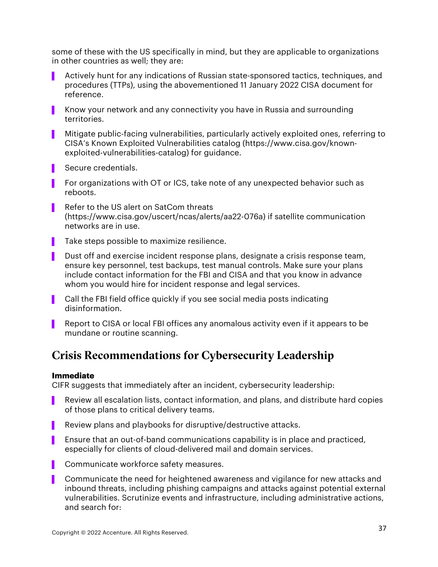some of these with the US specifically in mind, but they are applicable to organizations in other countries as well; they are:

- ▌ Actively hunt for any indications of Russian state-sponsored tactics, techniques, and procedures (TTPs), using the abovementioned 11 January 2022 CISA document for reference.
- ▌ Know your network and any connectivity you have in Russia and surrounding territories.
- ▌ Mitigate public-facing vulnerabilities, particularly actively exploited ones, referring to CISA's Known Exploited Vulnerabilities catalog (https://www.cisa.gov/knownexploited-vulnerabilities-catalog) for guidance.
- Secure credentials.
- ▌ For organizations with OT or ICS, take note of any unexpected behavior such as reboots.
- Refer to the US alert on SatCom threats (https://www.cisa.gov/uscert/ncas/alerts/aa22-076a) if satellite communication networks are in use.
- Take steps possible to maximize resilience.
- Dust off and exercise incident response plans, designate a crisis response team, ensure key personnel, test backups, test manual controls. Make sure your plans include contact information for the FBI and CISA and that you know in advance whom you would hire for incident response and legal services.
- Call the FBI field office quickly if you see social media posts indicating disinformation.
- Report to CISA or local FBI offices any anomalous activity even if it appears to be mundane or routine scanning.

### Crisis Recommendations for Cybersecurity Leadership

#### **Immediate**

CIFR suggests that immediately after an incident, cybersecurity leadership:

- Review all escalation lists, contact information, and plans, and distribute hard copies of those plans to critical delivery teams.
- Review plans and playbooks for disruptive/destructive attacks.
- **Ensure that an out-of-band communications capability is in place and practiced,** especially for clients of cloud-delivered mail and domain services.
- Communicate workforce safety measures.
- ▌ Communicate the need for heightened awareness and vigilance for new attacks and inbound threats, including phishing campaigns and attacks against potential external vulnerabilities. Scrutinize events and infrastructure, including administrative actions, and search for: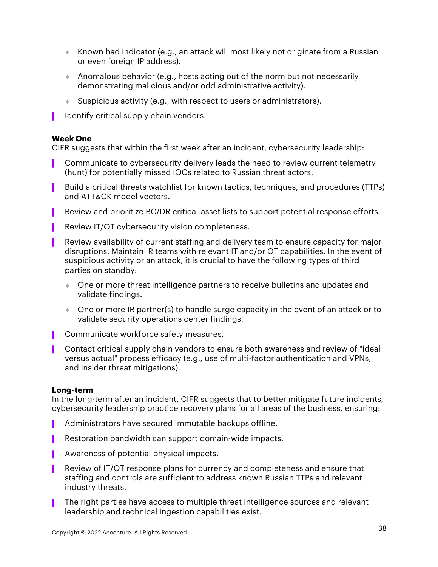- $\bullet$  Known bad indicator (e.g., an attack will most likely not originate from a Russian or even foreign IP address).
- $\bullet$  Anomalous behavior (e.g., hosts acting out of the norm but not necessarily demonstrating malicious and/or odd administrative activity).
- $\bullet$  Suspicious activity (e.g., with respect to users or administrators).
- I dentify critical supply chain vendors.

#### **Week One**

CIFR suggests that within the first week after an incident, cybersecurity leadership:

- Communicate to cybersecurity delivery leads the need to review current telemetry (hunt) for potentially missed IOCs related to Russian threat actors.
- Build a critical threats watchlist for known tactics, techniques, and procedures (TTPs) and ATT&CK model vectors.
- Review and prioritize BC/DR critical-asset lists to support potential response efforts.
- Review IT/OT cybersecurity vision completeness.
- Review availability of current staffing and delivery team to ensure capacity for major disruptions. Maintain IR teams with relevant IT and/or OT capabilities. In the event of suspicious activity or an attack, it is crucial to have the following types of third parties on standby:
	- **One or more threat intelligence partners to receive bulletins and updates and** validate findings.
	- $\bullet$  One or more IR partner(s) to handle surge capacity in the event of an attack or to validate security operations center findings.
- Communicate workforce safety measures.
- ▌ Contact critical supply chain vendors to ensure both awareness and review of "ideal versus actual" process efficacy (e.g., use of multi-factor authentication and VPNs, and insider threat mitigations).

#### **Long-term**

In the long-term after an incident, CIFR suggests that to better mitigate future incidents, cybersecurity leadership practice recovery plans for all areas of the business, ensuring:

- Administrators have secured immutable backups offline.
- Restoration bandwidth can support domain-wide impacts.
- Awareness of potential physical impacts.
- Review of IT/OT response plans for currency and completeness and ensure that staffing and controls are sufficient to address known Russian TTPs and relevant industry threats.
- The right parties have access to multiple threat intelligence sources and relevant leadership and technical ingestion capabilities exist.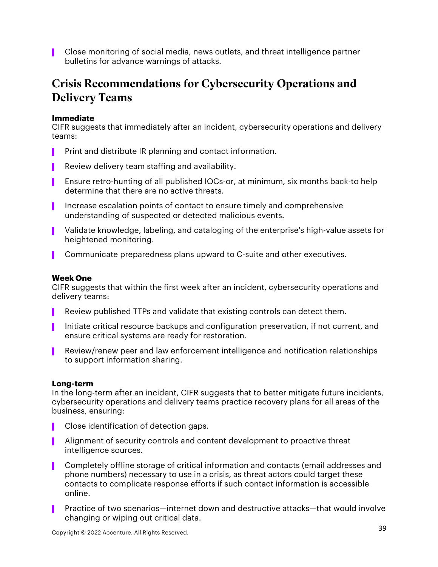▌ Close monitoring of social media, news outlets, and threat intelligence partner bulletins for advance warnings of attacks.

### Crisis Recommendations for Cybersecurity Operations and Delivery Teams

#### **Immediate**

CIFR suggests that immediately after an incident, cybersecurity operations and delivery teams:

- Print and distribute IR planning and contact information.
- **P** Review delivery team staffing and availability.
- ▌ Ensure retro-hunting of all published IOCs-or, at minimum, six months back-to help determine that there are no active threats.
- ▌ Increase escalation points of contact to ensure timely and comprehensive understanding of suspected or detected malicious events.
- ▌ Validate knowledge, labeling, and cataloging of the enterprise's high-value assets for heightened monitoring.
- **Communicate preparedness plans upward to C-suite and other executives.**

#### **Week One**

CIFR suggests that within the first week after an incident, cybersecurity operations and delivery teams:

- Review published TTPs and validate that existing controls can detect them.
- ▌ Initiate critical resource backups and configuration preservation, if not current, and ensure critical systems are ready for restoration.
- Review/renew peer and law enforcement intelligence and notification relationships to support information sharing.

#### **Long-term**

In the long-term after an incident, CIFR suggests that to better mitigate future incidents, cybersecurity operations and delivery teams practice recovery plans for all areas of the business, ensuring:

- Close identification of detection gaps.
- **B** Alignment of security controls and content development to proactive threat intelligence sources.
- ▌ Completely offline storage of critical information and contacts (email addresses and phone numbers) necessary to use in a crisis, as threat actors could target these contacts to complicate response efforts if such contact information is accessible online.
- Practice of two scenarios—internet down and destructive attacks—that would involve changing or wiping out critical data.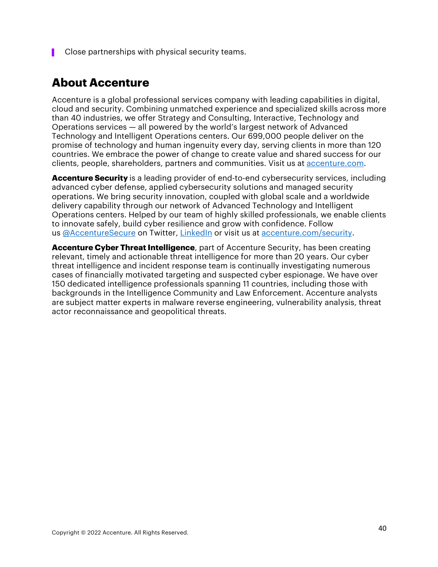■ Close partnerships with physical security teams.

#### **About Accenture**

Accenture is a global professional services company with leading capabilities in digital, cloud and security. Combining unmatched experience and specialized skills across more than 40 industries, we offer Strategy and Consulting, Interactive, Technology and Operations services — all powered by the world's largest network of Advanced Technology and Intelligent Operations centers. Our 699,000 people deliver on the promise of technology and human ingenuity every day, serving clients in more than 120 countries. We embrace the power of change to create value and shared success for our clients, people, shareholders, partners and communities. Visit us at accenture.com.

**Accenture Security** is a leading provider of end-to-end cybersecurity services, including advanced cyber defense, applied cybersecurity solutions and managed security operations. We bring security innovation, coupled with global scale and a worldwide delivery capability through our network of Advanced Technology and Intelligent Operations centers. Helped by our team of highly skilled professionals, we enable clients to innovate safely, build cyber resilience and grow with confidence. Follow us @AccentureSecure on Twitter, LinkedIn or visit us at accenture.com/security.

**Accenture Cyber Threat Intelligence**, part of Accenture Security, has been creating relevant, timely and actionable threat intelligence for more than 20 years. Our cyber threat intelligence and incident response team is continually investigating numerous cases of financially motivated targeting and suspected cyber espionage. We have over 150 dedicated intelligence professionals spanning 11 countries, including those with backgrounds in the Intelligence Community and Law Enforcement. Accenture analysts are subject matter experts in malware reverse engineering, vulnerability analysis, threat actor reconnaissance and geopolitical threats.